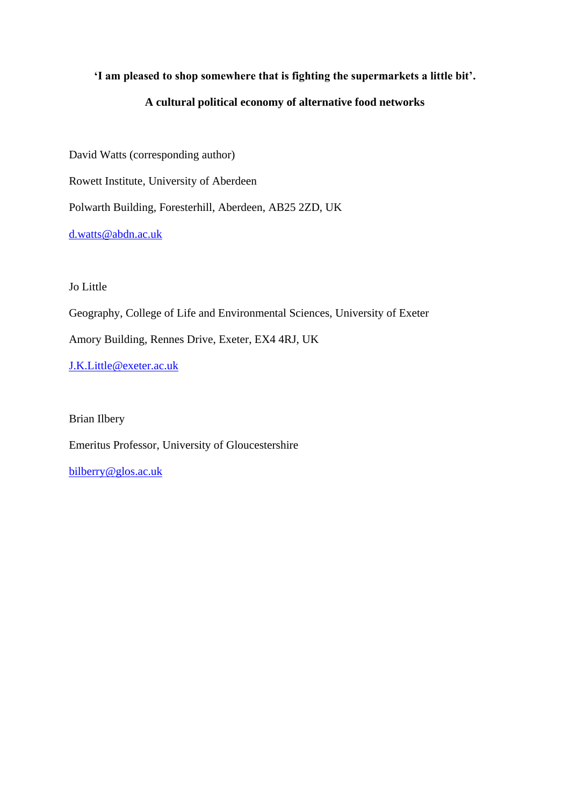# **'I am pleased to shop somewhere that is fighting the supermarkets a little bit'.**

# **A cultural political economy of alternative food networks**

David Watts (corresponding author) Rowett Institute, University of Aberdeen Polwarth Building, Foresterhill, Aberdeen, AB25 2ZD, UK [d.watts@abdn.ac.uk](mailto:d.watts@abdn.ac.uk)

Jo Little

Geography, College of Life and Environmental Sciences, University of Exeter Amory Building, Rennes Drive, Exeter, EX4 4RJ, UK [J.K.Little@exeter.ac.uk](mailto:J.K.Little@exeter.ac.uk)

Brian Ilbery Emeritus Professor, University of Gloucestershire [bilberry@glos.ac.uk](mailto:bilberry@glos.ac.uk)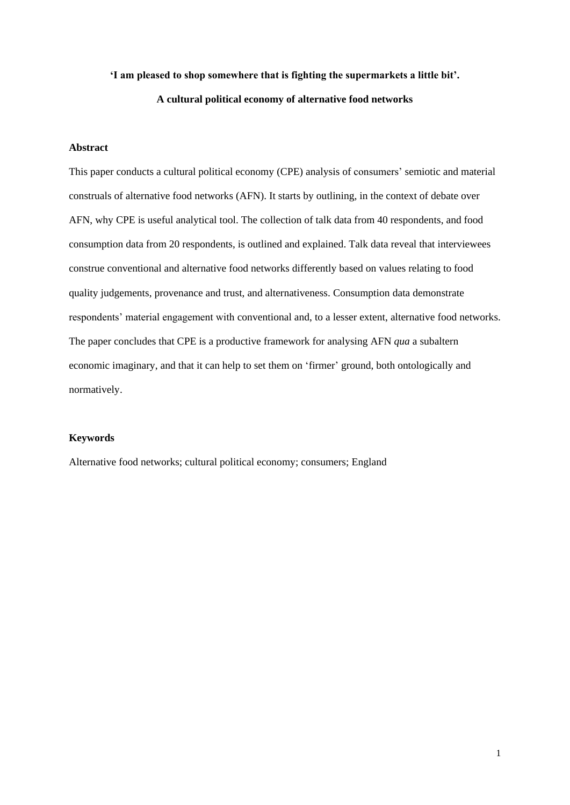# **'I am pleased to shop somewhere that is fighting the supermarkets a little bit'. A cultural political economy of alternative food networks**

#### **Abstract**

This paper conducts a cultural political economy (CPE) analysis of consumers' semiotic and material construals of alternative food networks (AFN). It starts by outlining, in the context of debate over AFN, why CPE is useful analytical tool. The collection of talk data from 40 respondents, and food consumption data from 20 respondents, is outlined and explained. Talk data reveal that interviewees construe conventional and alternative food networks differently based on values relating to food quality judgements, provenance and trust, and alternativeness. Consumption data demonstrate respondents' material engagement with conventional and, to a lesser extent, alternative food networks. The paper concludes that CPE is a productive framework for analysing AFN *qua* a subaltern economic imaginary, and that it can help to set them on 'firmer' ground, both ontologically and normatively.

## **Keywords**

Alternative food networks; cultural political economy; consumers; England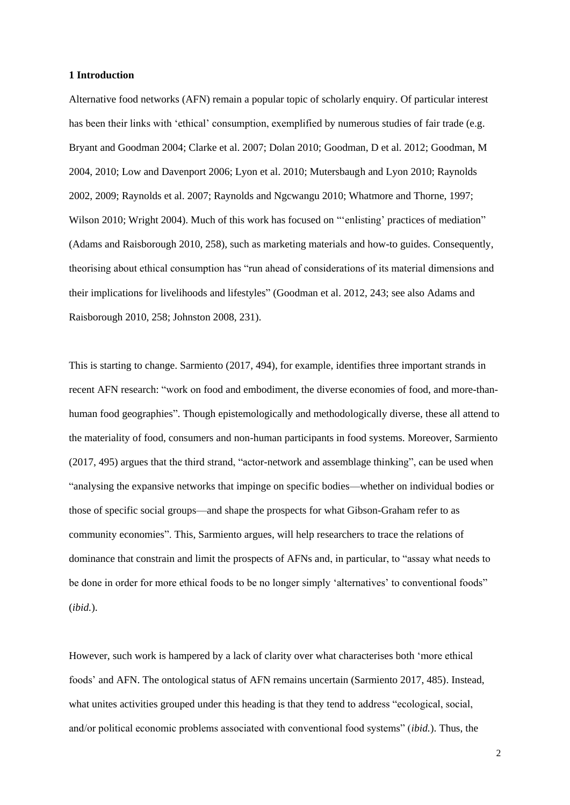#### **1 Introduction**

Alternative food networks (AFN) remain a popular topic of scholarly enquiry. Of particular interest has been their links with 'ethical' consumption, exemplified by numerous studies of fair trade (e.g. Bryant and Goodman 2004; Clarke et al. 2007; Dolan 2010; Goodman, D et al. 2012; Goodman, M 2004, 2010; Low and Davenport 2006; Lyon et al. 2010; Mutersbaugh and Lyon 2010; Raynolds 2002, 2009; Raynolds et al. 2007; Raynolds and Ngcwangu 2010; Whatmore and Thorne, 1997; Wilson 2010; Wright 2004). Much of this work has focused on "'enlisting' practices of mediation" (Adams and Raisborough 2010, 258), such as marketing materials and how-to guides. Consequently, theorising about ethical consumption has "run ahead of considerations of its material dimensions and their implications for livelihoods and lifestyles" (Goodman et al. 2012, 243; see also Adams and Raisborough 2010, 258; Johnston 2008, 231).

This is starting to change. Sarmiento (2017, 494), for example, identifies three important strands in recent AFN research: "work on food and embodiment, the diverse economies of food, and more-thanhuman food geographies". Though epistemologically and methodologically diverse, these all attend to the materiality of food, consumers and non-human participants in food systems. Moreover, Sarmiento (2017, 495) argues that the third strand, "actor-network and assemblage thinking", can be used when "analysing the expansive networks that impinge on specific bodies—whether on individual bodies or those of specific social groups—and shape the prospects for what Gibson-Graham refer to as community economies". This, Sarmiento argues, will help researchers to trace the relations of dominance that constrain and limit the prospects of AFNs and, in particular, to "assay what needs to be done in order for more ethical foods to be no longer simply 'alternatives' to conventional foods" (*ibid.*).

However, such work is hampered by a lack of clarity over what characterises both 'more ethical foods' and AFN. The ontological status of AFN remains uncertain (Sarmiento 2017, 485). Instead, what unites activities grouped under this heading is that they tend to address "ecological, social, and/or political economic problems associated with conventional food systems" (*ibid.*). Thus, the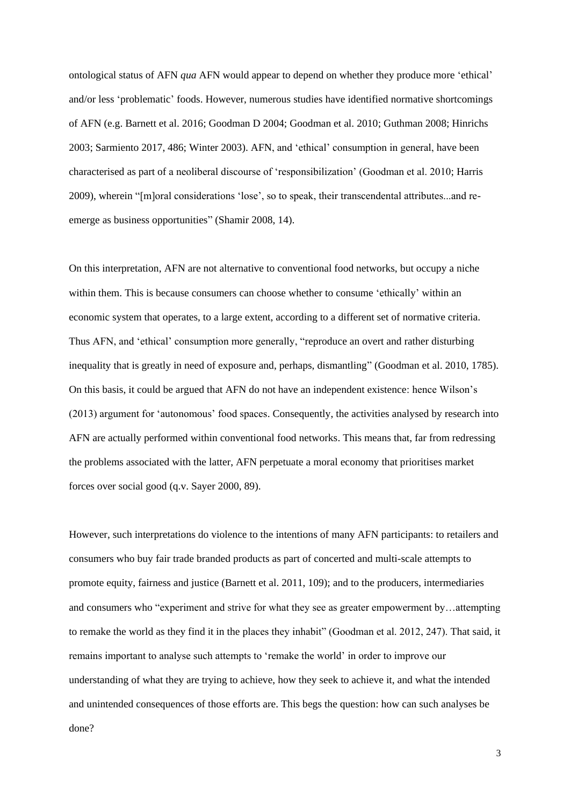ontological status of AFN *qua* AFN would appear to depend on whether they produce more 'ethical' and/or less 'problematic' foods. However, numerous studies have identified normative shortcomings of AFN (e.g. Barnett et al. 2016; Goodman D 2004; Goodman et al. 2010; Guthman 2008; Hinrichs 2003; Sarmiento 2017, 486; Winter 2003). AFN, and 'ethical' consumption in general, have been characterised as part of a neoliberal discourse of 'responsibilization' (Goodman et al. 2010; Harris 2009), wherein "[m]oral considerations 'lose', so to speak, their transcendental attributes...and reemerge as business opportunities" (Shamir 2008, 14).

On this interpretation, AFN are not alternative to conventional food networks, but occupy a niche within them. This is because consumers can choose whether to consume 'ethically' within an economic system that operates, to a large extent, according to a different set of normative criteria. Thus AFN, and 'ethical' consumption more generally, "reproduce an overt and rather disturbing inequality that is greatly in need of exposure and, perhaps, dismantling" (Goodman et al. 2010, 1785). On this basis, it could be argued that AFN do not have an independent existence: hence Wilson's (2013) argument for 'autonomous' food spaces. Consequently, the activities analysed by research into AFN are actually performed within conventional food networks. This means that, far from redressing the problems associated with the latter, AFN perpetuate a moral economy that prioritises market forces over social good (q.v. Sayer 2000, 89).

However, such interpretations do violence to the intentions of many AFN participants: to retailers and consumers who buy fair trade branded products as part of concerted and multi-scale attempts to promote equity, fairness and justice (Barnett et al. 2011, 109); and to the producers, intermediaries and consumers who "experiment and strive for what they see as greater empowerment by…attempting to remake the world as they find it in the places they inhabit" (Goodman et al. 2012, 247). That said, it remains important to analyse such attempts to 'remake the world' in order to improve our understanding of what they are trying to achieve, how they seek to achieve it, and what the intended and unintended consequences of those efforts are. This begs the question: how can such analyses be done?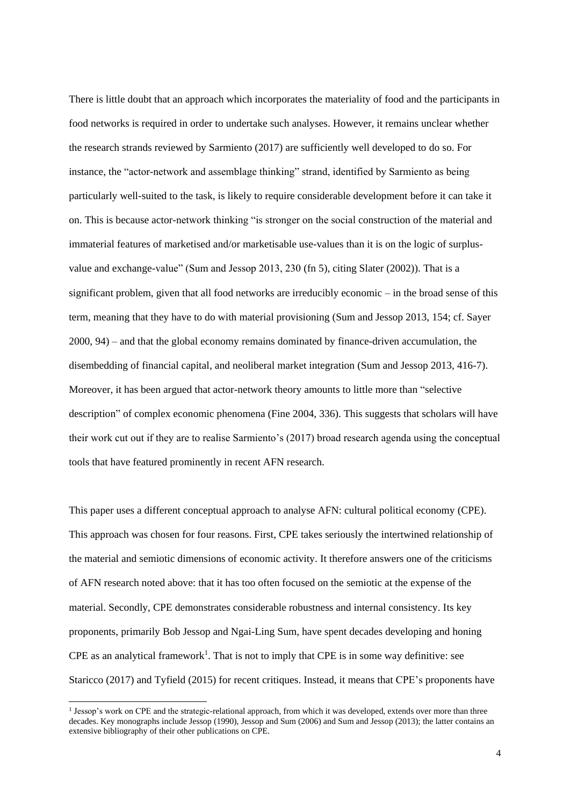There is little doubt that an approach which incorporates the materiality of food and the participants in food networks is required in order to undertake such analyses. However, it remains unclear whether the research strands reviewed by Sarmiento (2017) are sufficiently well developed to do so. For instance, the "actor-network and assemblage thinking" strand, identified by Sarmiento as being particularly well-suited to the task, is likely to require considerable development before it can take it on. This is because actor-network thinking "is stronger on the social construction of the material and immaterial features of marketised and/or marketisable use-values than it is on the logic of surplusvalue and exchange-value" (Sum and Jessop 2013, 230 (fn 5), citing Slater (2002)). That is a significant problem, given that all food networks are irreducibly economic – in the broad sense of this term, meaning that they have to do with material provisioning (Sum and Jessop 2013, 154; cf. Sayer 2000, 94) – and that the global economy remains dominated by finance-driven accumulation, the disembedding of financial capital, and neoliberal market integration (Sum and Jessop 2013, 416-7). Moreover, it has been argued that actor-network theory amounts to little more than "selective description" of complex economic phenomena (Fine 2004, 336). This suggests that scholars will have their work cut out if they are to realise Sarmiento's (2017) broad research agenda using the conceptual tools that have featured prominently in recent AFN research.

This paper uses a different conceptual approach to analyse AFN: cultural political economy (CPE). This approach was chosen for four reasons. First, CPE takes seriously the intertwined relationship of the material and semiotic dimensions of economic activity. It therefore answers one of the criticisms of AFN research noted above: that it has too often focused on the semiotic at the expense of the material. Secondly, CPE demonstrates considerable robustness and internal consistency. Its key proponents, primarily Bob Jessop and Ngai-Ling Sum, have spent decades developing and honing CPE as an analytical framework<sup>1</sup>. That is not to imply that CPE is in some way definitive: see Staricco (2017) and Tyfield (2015) for recent critiques. Instead, it means that CPE's proponents have

-

<sup>&</sup>lt;sup>1</sup> Jessop's work on CPE and the strategic-relational approach, from which it was developed, extends over more than three decades. Key monographs include Jessop (1990), Jessop and Sum (2006) and Sum and Jessop (2013); the latter contains an extensive bibliography of their other publications on CPE.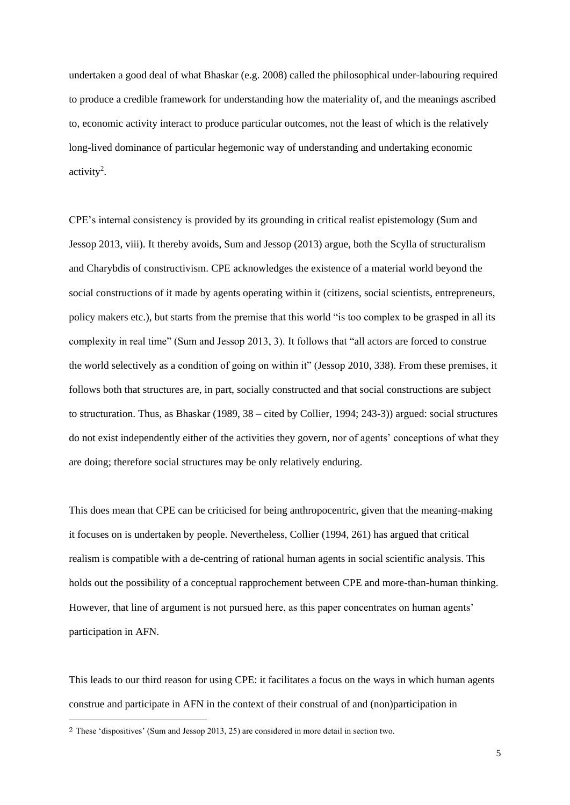undertaken a good deal of what Bhaskar (e.g. 2008) called the philosophical under-labouring required to produce a credible framework for understanding how the materiality of, and the meanings ascribed to, economic activity interact to produce particular outcomes, not the least of which is the relatively long-lived dominance of particular hegemonic way of understanding and undertaking economic  $\arctivity^2$ .

CPE's internal consistency is provided by its grounding in critical realist epistemology (Sum and Jessop 2013, viii). It thereby avoids, Sum and Jessop (2013) argue, both the Scylla of structuralism and Charybdis of constructivism. CPE acknowledges the existence of a material world beyond the social constructions of it made by agents operating within it (citizens, social scientists, entrepreneurs, policy makers etc.), but starts from the premise that this world "is too complex to be grasped in all its complexity in real time" (Sum and Jessop 2013, 3). It follows that "all actors are forced to construe the world selectively as a condition of going on within it" (Jessop 2010, 338). From these premises, it follows both that structures are, in part, socially constructed and that social constructions are subject to structuration. Thus, as Bhaskar (1989, 38 – cited by Collier, 1994; 243-3)) argued: social structures do not exist independently either of the activities they govern, nor of agents' conceptions of what they are doing; therefore social structures may be only relatively enduring.

This does mean that CPE can be criticised for being anthropocentric, given that the meaning-making it focuses on is undertaken by people. Nevertheless, Collier (1994, 261) has argued that critical realism is compatible with a de-centring of rational human agents in social scientific analysis. This holds out the possibility of a conceptual rapprochement between CPE and more-than-human thinking. However, that line of argument is not pursued here, as this paper concentrates on human agents' participation in AFN.

This leads to our third reason for using CPE: it facilitates a focus on the ways in which human agents construe and participate in AFN in the context of their construal of and (non)participation in

-

<sup>2</sup> These 'dispositives' (Sum and Jessop 2013, 25) are considered in more detail in section two.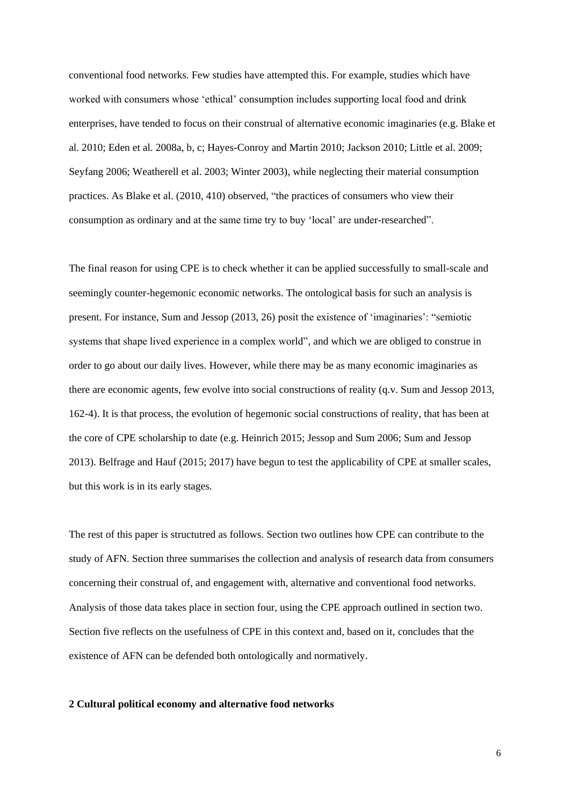conventional food networks. Few studies have attempted this. For example, studies which have worked with consumers whose 'ethical' consumption includes supporting local food and drink enterprises, have tended to focus on their construal of alternative economic imaginaries (e.g. Blake et al. 2010; Eden et al. 2008a, b, c; Hayes-Conroy and Martin 2010; Jackson 2010; Little et al. 2009; Seyfang 2006; Weatherell et al. 2003; Winter 2003), while neglecting their material consumption practices. As Blake et al. (2010, 410) observed, "the practices of consumers who view their consumption as ordinary and at the same time try to buy 'local' are under-researched".

The final reason for using CPE is to check whether it can be applied successfully to small-scale and seemingly counter-hegemonic economic networks. The ontological basis for such an analysis is present. For instance, Sum and Jessop (2013, 26) posit the existence of 'imaginaries': "semiotic systems that shape lived experience in a complex world", and which we are obliged to construe in order to go about our daily lives. However, while there may be as many economic imaginaries as there are economic agents, few evolve into social constructions of reality (q.v. Sum and Jessop 2013, 162-4). It is that process, the evolution of hegemonic social constructions of reality, that has been at the core of CPE scholarship to date (e.g. Heinrich 2015; Jessop and Sum 2006; Sum and Jessop 2013). Belfrage and Hauf (2015; 2017) have begun to test the applicability of CPE at smaller scales, but this work is in its early stages.

The rest of this paper is structutred as follows. Section two outlines how CPE can contribute to the study of AFN. Section three summarises the collection and analysis of research data from consumers concerning their construal of, and engagement with, alternative and conventional food networks. Analysis of those data takes place in section four, using the CPE approach outlined in section two. Section five reflects on the usefulness of CPE in this context and, based on it, concludes that the existence of AFN can be defended both ontologically and normatively.

#### **2 Cultural political economy and alternative food networks**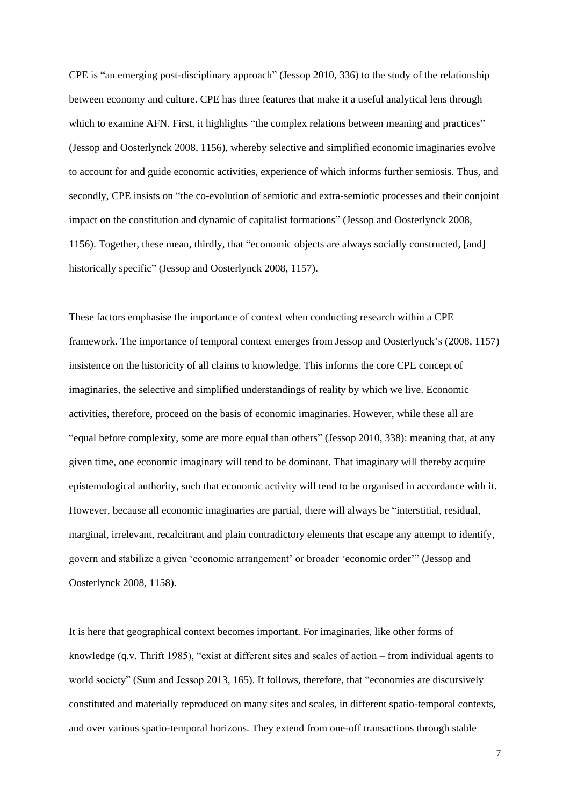CPE is "an emerging post-disciplinary approach" (Jessop 2010, 336) to the study of the relationship between economy and culture. CPE has three features that make it a useful analytical lens through which to examine AFN. First, it highlights "the complex relations between meaning and practices" (Jessop and Oosterlynck 2008, 1156), whereby selective and simplified economic imaginaries evolve to account for and guide economic activities, experience of which informs further semiosis. Thus, and secondly, CPE insists on "the co-evolution of semiotic and extra-semiotic processes and their conjoint impact on the constitution and dynamic of capitalist formations" (Jessop and Oosterlynck 2008, 1156). Together, these mean, thirdly, that "economic objects are always socially constructed, [and] historically specific" (Jessop and Oosterlynck 2008, 1157).

These factors emphasise the importance of context when conducting research within a CPE framework. The importance of temporal context emerges from Jessop and Oosterlynck's (2008, 1157) insistence on the historicity of all claims to knowledge. This informs the core CPE concept of imaginaries, the selective and simplified understandings of reality by which we live. Economic activities, therefore, proceed on the basis of economic imaginaries. However, while these all are "equal before complexity, some are more equal than others" (Jessop 2010, 338): meaning that, at any given time, one economic imaginary will tend to be dominant. That imaginary will thereby acquire epistemological authority, such that economic activity will tend to be organised in accordance with it. However, because all economic imaginaries are partial, there will always be "interstitial, residual, marginal, irrelevant, recalcitrant and plain contradictory elements that escape any attempt to identify, govern and stabilize a given 'economic arrangement' or broader 'economic order'" (Jessop and Oosterlynck 2008, 1158).

It is here that geographical context becomes important. For imaginaries, like other forms of knowledge (q.v. Thrift 1985), "exist at different sites and scales of action – from individual agents to world society" (Sum and Jessop 2013, 165). It follows, therefore, that "economies are discursively constituted and materially reproduced on many sites and scales, in different spatio-temporal contexts, and over various spatio-temporal horizons. They extend from one-off transactions through stable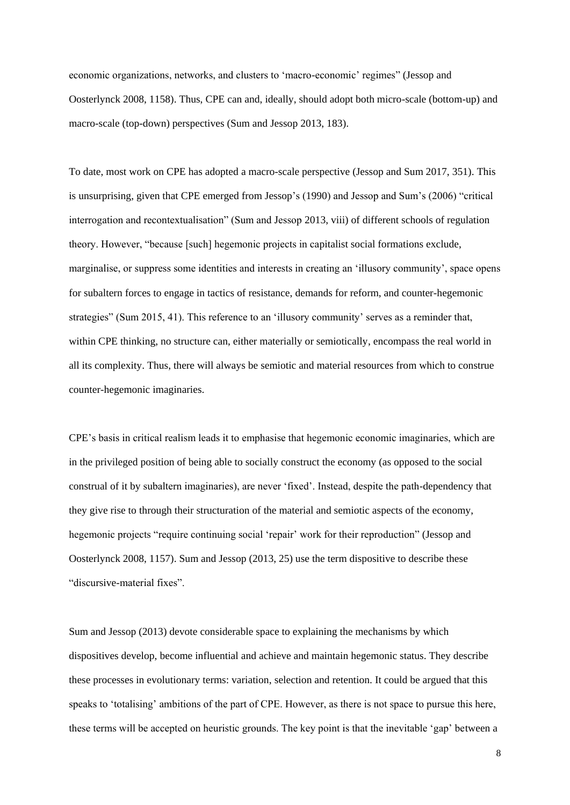economic organizations, networks, and clusters to 'macro-economic' regimes" (Jessop and Oosterlynck 2008, 1158). Thus, CPE can and, ideally, should adopt both micro-scale (bottom-up) and macro-scale (top-down) perspectives (Sum and Jessop 2013, 183).

To date, most work on CPE has adopted a macro-scale perspective (Jessop and Sum 2017, 351). This is unsurprising, given that CPE emerged from Jessop's (1990) and Jessop and Sum's (2006) "critical interrogation and recontextualisation" (Sum and Jessop 2013, viii) of different schools of regulation theory. However, "because [such] hegemonic projects in capitalist social formations exclude, marginalise, or suppress some identities and interests in creating an 'illusory community', space opens for subaltern forces to engage in tactics of resistance, demands for reform, and counter-hegemonic strategies" (Sum 2015, 41). This reference to an 'illusory community' serves as a reminder that, within CPE thinking, no structure can, either materially or semiotically, encompass the real world in all its complexity. Thus, there will always be semiotic and material resources from which to construe counter-hegemonic imaginaries.

CPE's basis in critical realism leads it to emphasise that hegemonic economic imaginaries, which are in the privileged position of being able to socially construct the economy (as opposed to the social construal of it by subaltern imaginaries), are never 'fixed'. Instead, despite the path-dependency that they give rise to through their structuration of the material and semiotic aspects of the economy, hegemonic projects "require continuing social 'repair' work for their reproduction" (Jessop and Oosterlynck 2008, 1157). Sum and Jessop (2013, 25) use the term dispositive to describe these "discursive-material fixes".

Sum and Jessop (2013) devote considerable space to explaining the mechanisms by which dispositives develop, become influential and achieve and maintain hegemonic status. They describe these processes in evolutionary terms: variation, selection and retention. It could be argued that this speaks to 'totalising' ambitions of the part of CPE. However, as there is not space to pursue this here, these terms will be accepted on heuristic grounds. The key point is that the inevitable 'gap' between a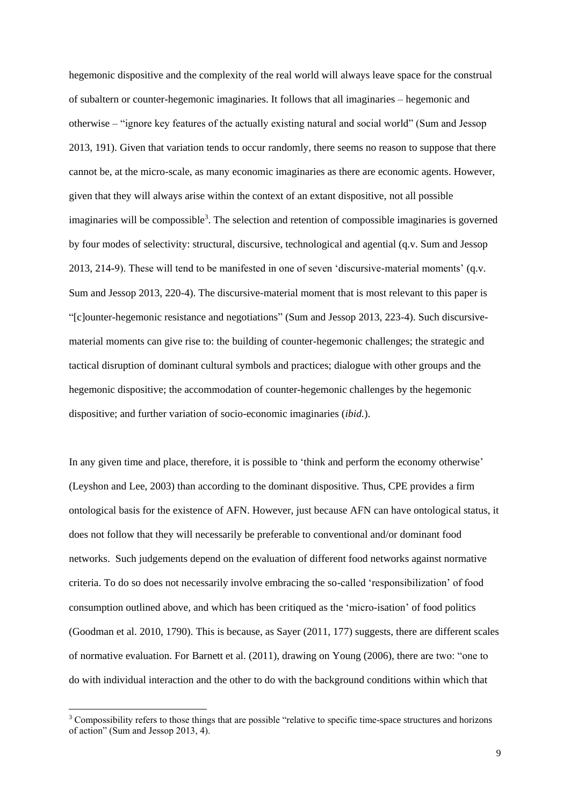hegemonic dispositive and the complexity of the real world will always leave space for the construal of subaltern or counter-hegemonic imaginaries. It follows that all imaginaries – hegemonic and otherwise – "ignore key features of the actually existing natural and social world" (Sum and Jessop 2013, 191). Given that variation tends to occur randomly, there seems no reason to suppose that there cannot be, at the micro-scale, as many economic imaginaries as there are economic agents. However, given that they will always arise within the context of an extant dispositive, not all possible imaginaries will be compossible<sup>3</sup>. The selection and retention of compossible imaginaries is governed by four modes of selectivity: structural, discursive, technological and agential (q.v. Sum and Jessop 2013, 214-9). These will tend to be manifested in one of seven 'discursive-material moments' (q.v. Sum and Jessop 2013, 220-4). The discursive-material moment that is most relevant to this paper is "[c]ounter-hegemonic resistance and negotiations" (Sum and Jessop 2013, 223-4). Such discursivematerial moments can give rise to: the building of counter-hegemonic challenges; the strategic and tactical disruption of dominant cultural symbols and practices; dialogue with other groups and the hegemonic dispositive; the accommodation of counter-hegemonic challenges by the hegemonic dispositive; and further variation of socio-economic imaginaries (*ibid.*).

In any given time and place, therefore, it is possible to 'think and perform the economy otherwise' (Leyshon and Lee, 2003) than according to the dominant dispositive. Thus, CPE provides a firm ontological basis for the existence of AFN. However, just because AFN can have ontological status, it does not follow that they will necessarily be preferable to conventional and/or dominant food networks. Such judgements depend on the evaluation of different food networks against normative criteria. To do so does not necessarily involve embracing the so-called 'responsibilization' of food consumption outlined above, and which has been critiqued as the 'micro-isation' of food politics (Goodman et al. 2010, 1790). This is because, as Sayer (2011, 177) suggests, there are different scales of normative evaluation. For Barnett et al. (2011), drawing on Young (2006), there are two: "one to do with individual interaction and the other to do with the background conditions within which that

-

<sup>&</sup>lt;sup>3</sup> Compossibility refers to those things that are possible "relative to specific time-space structures and horizons of action" (Sum and Jessop 2013, 4).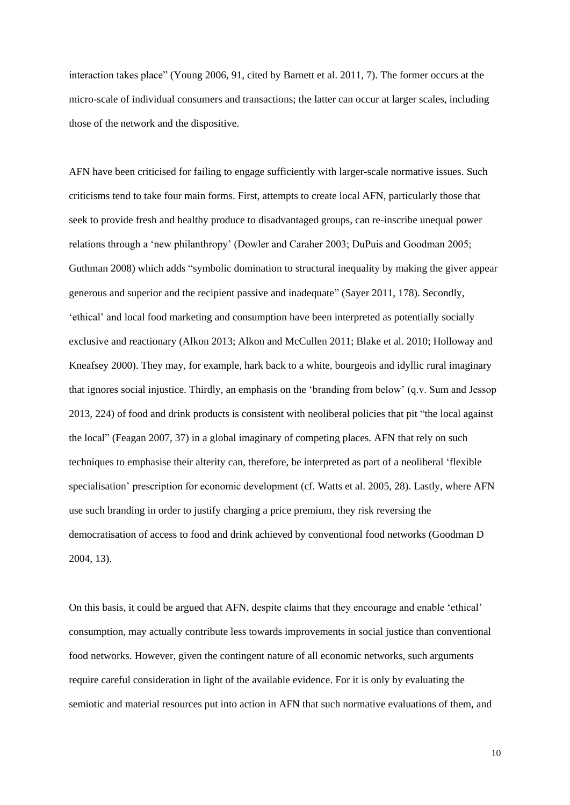interaction takes place" (Young 2006, 91, cited by Barnett et al. 2011, 7). The former occurs at the micro-scale of individual consumers and transactions; the latter can occur at larger scales, including those of the network and the dispositive.

AFN have been criticised for failing to engage sufficiently with larger-scale normative issues. Such criticisms tend to take four main forms. First, attempts to create local AFN, particularly those that seek to provide fresh and healthy produce to disadvantaged groups, can re-inscribe unequal power relations through a 'new philanthropy' (Dowler and Caraher 2003; DuPuis and Goodman 2005; Guthman 2008) which adds "symbolic domination to structural inequality by making the giver appear generous and superior and the recipient passive and inadequate" (Sayer 2011, 178). Secondly, 'ethical' and local food marketing and consumption have been interpreted as potentially socially exclusive and reactionary (Alkon 2013; Alkon and McCullen 2011; Blake et al. 2010; Holloway and Kneafsey 2000). They may, for example, hark back to a white, bourgeois and idyllic rural imaginary that ignores social injustice. Thirdly, an emphasis on the 'branding from below' (q.v. Sum and Jessop 2013, 224) of food and drink products is consistent with neoliberal policies that pit "the local against the local" (Feagan 2007, 37) in a global imaginary of competing places. AFN that rely on such techniques to emphasise their alterity can, therefore, be interpreted as part of a neoliberal 'flexible specialisation' prescription for economic development (cf. Watts et al. 2005, 28). Lastly, where AFN use such branding in order to justify charging a price premium, they risk reversing the democratisation of access to food and drink achieved by conventional food networks (Goodman D 2004, 13).

On this basis, it could be argued that AFN, despite claims that they encourage and enable 'ethical' consumption, may actually contribute less towards improvements in social justice than conventional food networks. However, given the contingent nature of all economic networks, such arguments require careful consideration in light of the available evidence. For it is only by evaluating the semiotic and material resources put into action in AFN that such normative evaluations of them, and

10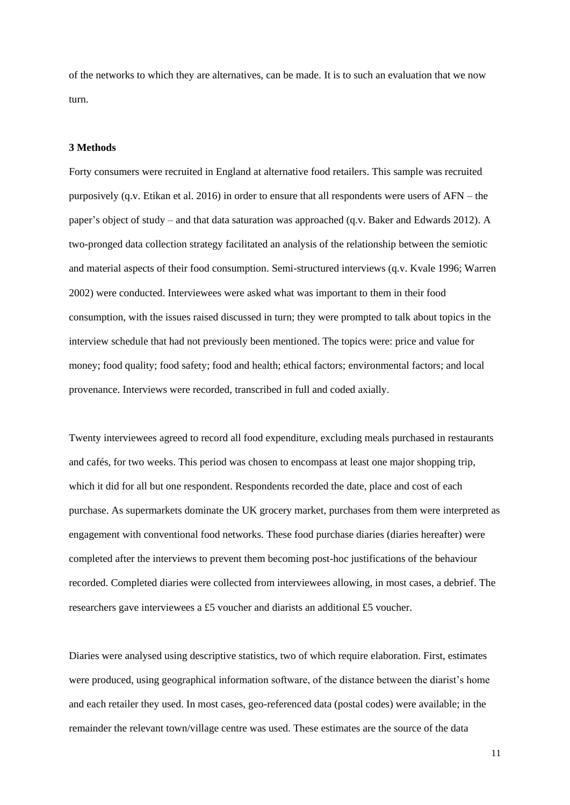of the networks to which they are alternatives, can be made. It is to such an evaluation that we now turn.

#### **3 Methods**

Forty consumers were recruited in England at alternative food retailers. This sample was recruited purposively (q.v. Etikan et al. 2016) in order to ensure that all respondents were users of AFN – the paper's object of study – and that data saturation was approached (q.v. Baker and Edwards 2012). A two-pronged data collection strategy facilitated an analysis of the relationship between the semiotic and material aspects of their food consumption. Semi-structured interviews (q.v. Kvale 1996; Warren 2002) were conducted. Interviewees were asked what was important to them in their food consumption, with the issues raised discussed in turn; they were prompted to talk about topics in the interview schedule that had not previously been mentioned. The topics were: price and value for money; food quality; food safety; food and health; ethical factors; environmental factors; and local provenance. Interviews were recorded, transcribed in full and coded axially.

Twenty interviewees agreed to record all food expenditure, excluding meals purchased in restaurants and cafés, for two weeks. This period was chosen to encompass at least one major shopping trip, which it did for all but one respondent. Respondents recorded the date, place and cost of each purchase. As supermarkets dominate the UK grocery market, purchases from them were interpreted as engagement with conventional food networks. These food purchase diaries (diaries hereafter) were completed after the interviews to prevent them becoming post-hoc justifications of the behaviour recorded. Completed diaries were collected from interviewees allowing, in most cases, a debrief. The researchers gave interviewees a £5 voucher and diarists an additional £5 voucher.

Diaries were analysed using descriptive statistics, two of which require elaboration. First, estimates were produced, using geographical information software, of the distance between the diarist's home and each retailer they used. In most cases, geo-referenced data (postal codes) were available; in the remainder the relevant town/village centre was used. These estimates are the source of the data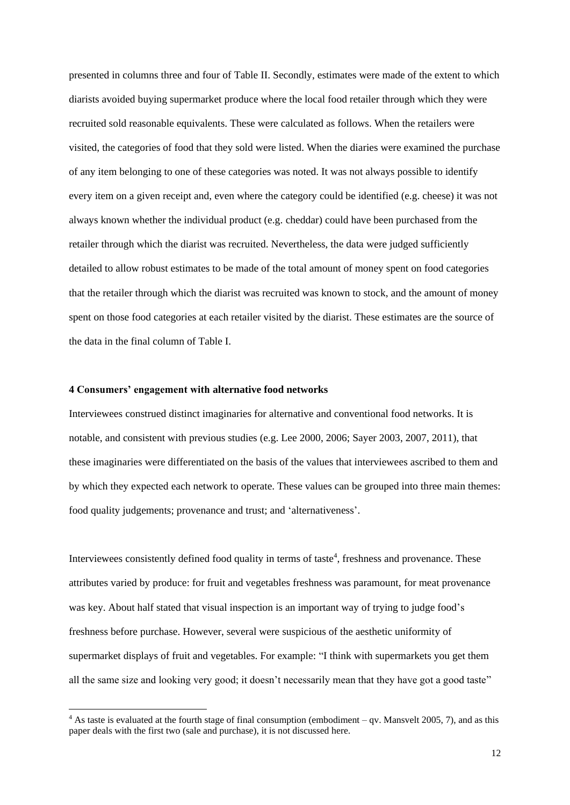presented in columns three and four of Table II. Secondly, estimates were made of the extent to which diarists avoided buying supermarket produce where the local food retailer through which they were recruited sold reasonable equivalents. These were calculated as follows. When the retailers were visited, the categories of food that they sold were listed. When the diaries were examined the purchase of any item belonging to one of these categories was noted. It was not always possible to identify every item on a given receipt and, even where the category could be identified (e.g. cheese) it was not always known whether the individual product (e.g. cheddar) could have been purchased from the retailer through which the diarist was recruited. Nevertheless, the data were judged sufficiently detailed to allow robust estimates to be made of the total amount of money spent on food categories that the retailer through which the diarist was recruited was known to stock, and the amount of money spent on those food categories at each retailer visited by the diarist. These estimates are the source of the data in the final column of Table I.

#### **4 Consumers' engagement with alternative food networks**

-

Interviewees construed distinct imaginaries for alternative and conventional food networks. It is notable, and consistent with previous studies (e.g. Lee 2000, 2006; Sayer 2003, 2007, 2011), that these imaginaries were differentiated on the basis of the values that interviewees ascribed to them and by which they expected each network to operate. These values can be grouped into three main themes: food quality judgements; provenance and trust; and 'alternativeness'.

Interviewees consistently defined food quality in terms of taste<sup>4</sup>, freshness and provenance. These attributes varied by produce: for fruit and vegetables freshness was paramount, for meat provenance was key. About half stated that visual inspection is an important way of trying to judge food's freshness before purchase. However, several were suspicious of the aesthetic uniformity of supermarket displays of fruit and vegetables. For example: "I think with supermarkets you get them all the same size and looking very good; it doesn't necessarily mean that they have got a good taste"

 $4$  As taste is evaluated at the fourth stage of final consumption (embodiment – qv. Mansvelt 2005, 7), and as this paper deals with the first two (sale and purchase), it is not discussed here.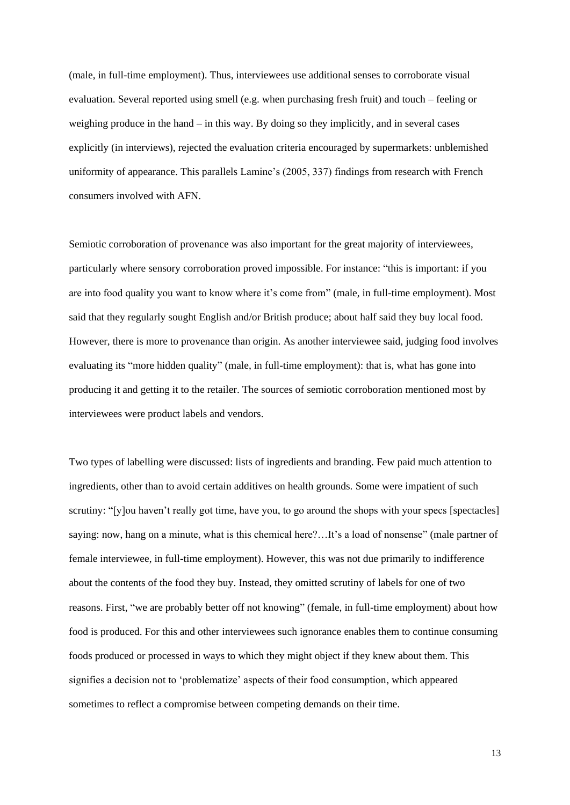(male, in full-time employment). Thus, interviewees use additional senses to corroborate visual evaluation. Several reported using smell (e.g. when purchasing fresh fruit) and touch – feeling or weighing produce in the hand  $-$  in this way. By doing so they implicitly, and in several cases explicitly (in interviews), rejected the evaluation criteria encouraged by supermarkets: unblemished uniformity of appearance. This parallels Lamine's (2005, 337) findings from research with French consumers involved with AFN.

Semiotic corroboration of provenance was also important for the great majority of interviewees, particularly where sensory corroboration proved impossible. For instance: "this is important: if you are into food quality you want to know where it's come from" (male, in full-time employment). Most said that they regularly sought English and/or British produce; about half said they buy local food. However, there is more to provenance than origin. As another interviewee said, judging food involves evaluating its "more hidden quality" (male, in full-time employment): that is, what has gone into producing it and getting it to the retailer. The sources of semiotic corroboration mentioned most by interviewees were product labels and vendors.

Two types of labelling were discussed: lists of ingredients and branding. Few paid much attention to ingredients, other than to avoid certain additives on health grounds. Some were impatient of such scrutiny: "[y]ou haven't really got time, have you, to go around the shops with your specs [spectacles] saying: now, hang on a minute, what is this chemical here?…It's a load of nonsense" (male partner of female interviewee, in full-time employment). However, this was not due primarily to indifference about the contents of the food they buy. Instead, they omitted scrutiny of labels for one of two reasons. First, "we are probably better off not knowing" (female, in full-time employment) about how food is produced. For this and other interviewees such ignorance enables them to continue consuming foods produced or processed in ways to which they might object if they knew about them. This signifies a decision not to 'problematize' aspects of their food consumption, which appeared sometimes to reflect a compromise between competing demands on their time.

13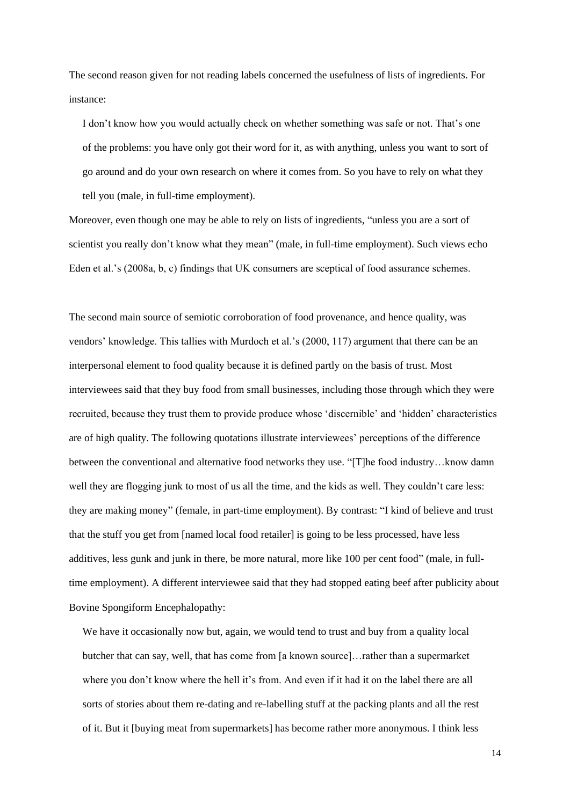The second reason given for not reading labels concerned the usefulness of lists of ingredients. For instance:

I don't know how you would actually check on whether something was safe or not. That's one of the problems: you have only got their word for it, as with anything, unless you want to sort of go around and do your own research on where it comes from. So you have to rely on what they tell you (male, in full-time employment).

Moreover, even though one may be able to rely on lists of ingredients, "unless you are a sort of scientist you really don't know what they mean" (male, in full-time employment). Such views echo Eden et al.'s (2008a, b, c) findings that UK consumers are sceptical of food assurance schemes.

The second main source of semiotic corroboration of food provenance, and hence quality, was vendors' knowledge. This tallies with Murdoch et al.'s (2000, 117) argument that there can be an interpersonal element to food quality because it is defined partly on the basis of trust. Most interviewees said that they buy food from small businesses, including those through which they were recruited, because they trust them to provide produce whose 'discernible' and 'hidden' characteristics are of high quality. The following quotations illustrate interviewees' perceptions of the difference between the conventional and alternative food networks they use. "[T]he food industry…know damn well they are flogging junk to most of us all the time, and the kids as well. They couldn't care less: they are making money" (female, in part-time employment). By contrast: "I kind of believe and trust that the stuff you get from [named local food retailer] is going to be less processed, have less additives, less gunk and junk in there, be more natural, more like 100 per cent food" (male, in fulltime employment). A different interviewee said that they had stopped eating beef after publicity about Bovine Spongiform Encephalopathy:

We have it occasionally now but, again, we would tend to trust and buy from a quality local butcher that can say, well, that has come from [a known source]…rather than a supermarket where you don't know where the hell it's from. And even if it had it on the label there are all sorts of stories about them re-dating and re-labelling stuff at the packing plants and all the rest of it. But it [buying meat from supermarkets] has become rather more anonymous. I think less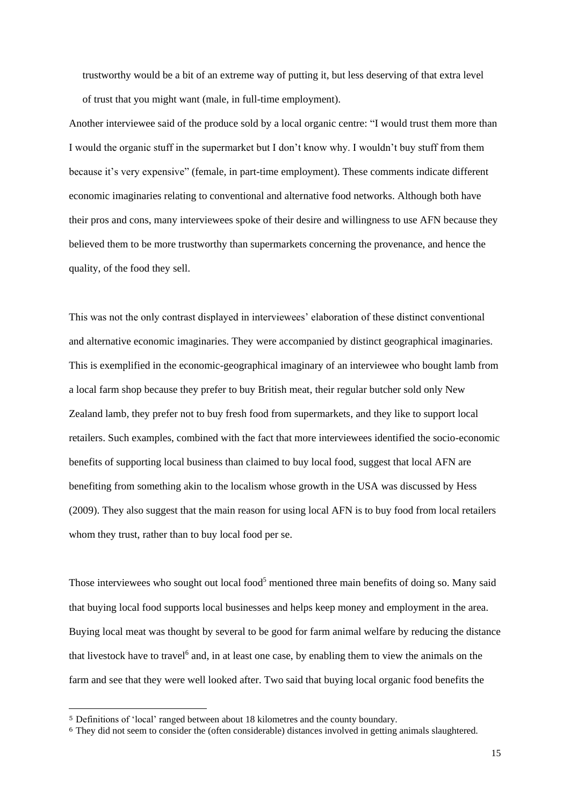trustworthy would be a bit of an extreme way of putting it, but less deserving of that extra level of trust that you might want (male, in full-time employment).

Another interviewee said of the produce sold by a local organic centre: "I would trust them more than I would the organic stuff in the supermarket but I don't know why. I wouldn't buy stuff from them because it's very expensive" (female, in part-time employment). These comments indicate different economic imaginaries relating to conventional and alternative food networks. Although both have their pros and cons, many interviewees spoke of their desire and willingness to use AFN because they believed them to be more trustworthy than supermarkets concerning the provenance, and hence the quality, of the food they sell.

This was not the only contrast displayed in interviewees' elaboration of these distinct conventional and alternative economic imaginaries. They were accompanied by distinct geographical imaginaries. This is exemplified in the economic-geographical imaginary of an interviewee who bought lamb from a local farm shop because they prefer to buy British meat, their regular butcher sold only New Zealand lamb, they prefer not to buy fresh food from supermarkets, and they like to support local retailers. Such examples, combined with the fact that more interviewees identified the socio-economic benefits of supporting local business than claimed to buy local food, suggest that local AFN are benefiting from something akin to the localism whose growth in the USA was discussed by Hess (2009). They also suggest that the main reason for using local AFN is to buy food from local retailers whom they trust, rather than to buy local food per se.

Those interviewees who sought out local food<sup>5</sup> mentioned three main benefits of doing so. Many said that buying local food supports local businesses and helps keep money and employment in the area. Buying local meat was thought by several to be good for farm animal welfare by reducing the distance that livestock have to travel<sup>6</sup> and, in at least one case, by enabling them to view the animals on the farm and see that they were well looked after. Two said that buying local organic food benefits the

-

<sup>5</sup> Definitions of 'local' ranged between about 18 kilometres and the county boundary.

<sup>6</sup> They did not seem to consider the (often considerable) distances involved in getting animals slaughtered.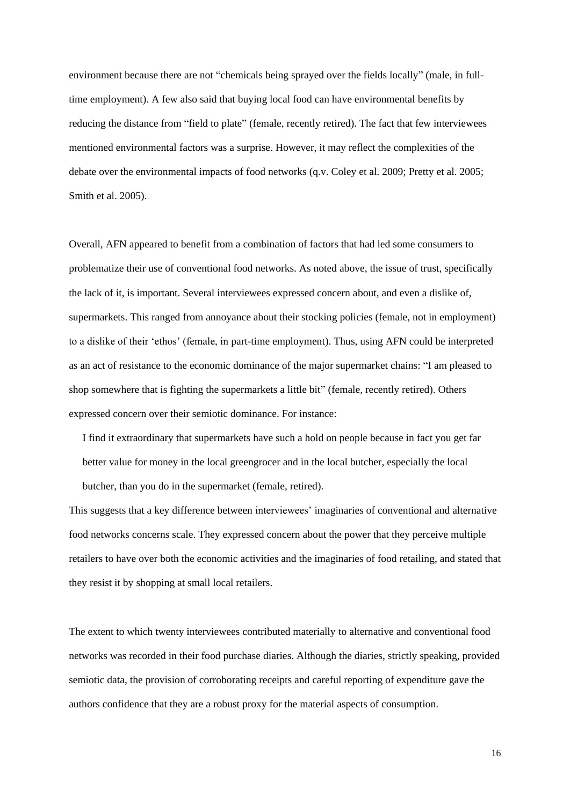environment because there are not "chemicals being sprayed over the fields locally" (male, in fulltime employment). A few also said that buying local food can have environmental benefits by reducing the distance from "field to plate" (female, recently retired). The fact that few interviewees mentioned environmental factors was a surprise. However, it may reflect the complexities of the debate over the environmental impacts of food networks (q.v. Coley et al. 2009; Pretty et al. 2005; Smith et al. 2005).

Overall, AFN appeared to benefit from a combination of factors that had led some consumers to problematize their use of conventional food networks. As noted above, the issue of trust, specifically the lack of it, is important. Several interviewees expressed concern about, and even a dislike of, supermarkets. This ranged from annoyance about their stocking policies (female, not in employment) to a dislike of their 'ethos' (female, in part-time employment). Thus, using AFN could be interpreted as an act of resistance to the economic dominance of the major supermarket chains: "I am pleased to shop somewhere that is fighting the supermarkets a little bit" (female, recently retired). Others expressed concern over their semiotic dominance. For instance:

I find it extraordinary that supermarkets have such a hold on people because in fact you get far better value for money in the local greengrocer and in the local butcher, especially the local butcher, than you do in the supermarket (female, retired).

This suggests that a key difference between interviewees' imaginaries of conventional and alternative food networks concerns scale. They expressed concern about the power that they perceive multiple retailers to have over both the economic activities and the imaginaries of food retailing, and stated that they resist it by shopping at small local retailers.

The extent to which twenty interviewees contributed materially to alternative and conventional food networks was recorded in their food purchase diaries. Although the diaries, strictly speaking, provided semiotic data, the provision of corroborating receipts and careful reporting of expenditure gave the authors confidence that they are a robust proxy for the material aspects of consumption.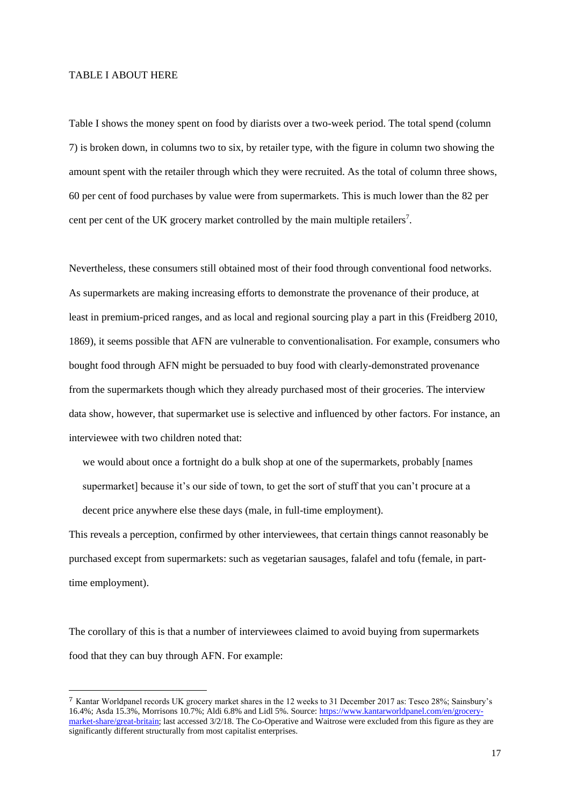#### TABLE I ABOUT HERE

-

Table I shows the money spent on food by diarists over a two-week period. The total spend (column 7) is broken down, in columns two to six, by retailer type, with the figure in column two showing the amount spent with the retailer through which they were recruited. As the total of column three shows, 60 per cent of food purchases by value were from supermarkets. This is much lower than the 82 per cent per cent of the UK grocery market controlled by the main multiple retailers<sup>7</sup>.

Nevertheless, these consumers still obtained most of their food through conventional food networks. As supermarkets are making increasing efforts to demonstrate the provenance of their produce, at least in premium-priced ranges, and as local and regional sourcing play a part in this (Freidberg 2010, 1869), it seems possible that AFN are vulnerable to conventionalisation. For example, consumers who bought food through AFN might be persuaded to buy food with clearly-demonstrated provenance from the supermarkets though which they already purchased most of their groceries. The interview data show, however, that supermarket use is selective and influenced by other factors. For instance, an interviewee with two children noted that:

we would about once a fortnight do a bulk shop at one of the supermarkets, probably [names supermarket] because it's our side of town, to get the sort of stuff that you can't procure at a decent price anywhere else these days (male, in full-time employment).

This reveals a perception, confirmed by other interviewees, that certain things cannot reasonably be purchased except from supermarkets: such as vegetarian sausages, falafel and tofu (female, in parttime employment).

The corollary of this is that a number of interviewees claimed to avoid buying from supermarkets food that they can buy through AFN. For example:

<sup>7</sup> Kantar Worldpanel records UK grocery market shares in the 12 weeks to 31 December 2017 as: Tesco 28%; Sainsbury's 16.4%; Asda 15.3%, Morrisons 10.7%; Aldi 6.8% and Lidl 5%. Source[: https://www.kantarworldpanel.com/en/grocery](https://www.kantarworldpanel.com/en/grocery-market-share/great-britain)[market-share/great-britain;](https://www.kantarworldpanel.com/en/grocery-market-share/great-britain) last accessed 3/2/18. The Co-Operative and Waitrose were excluded from this figure as they are significantly different structurally from most capitalist enterprises.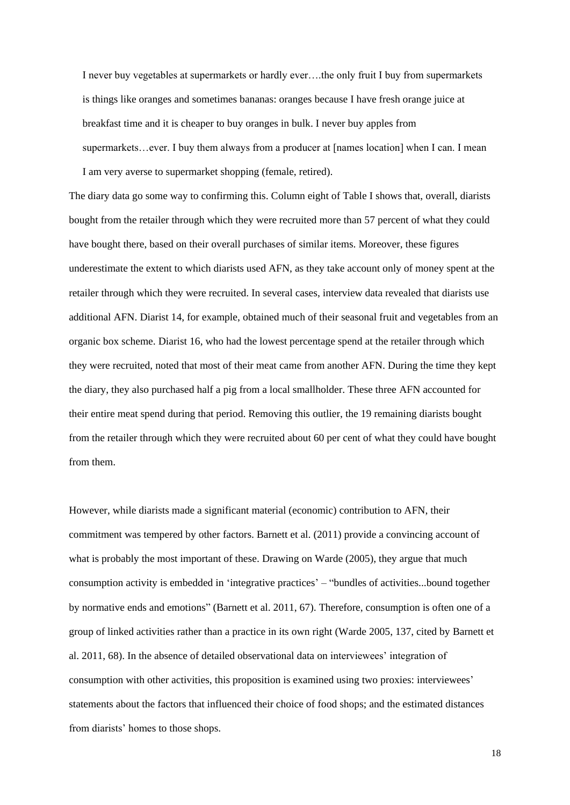I never buy vegetables at supermarkets or hardly ever….the only fruit I buy from supermarkets is things like oranges and sometimes bananas: oranges because I have fresh orange juice at breakfast time and it is cheaper to buy oranges in bulk. I never buy apples from supermarkets…ever. I buy them always from a producer at [names location] when I can. I mean I am very averse to supermarket shopping (female, retired).

The diary data go some way to confirming this. Column eight of Table I shows that, overall, diarists bought from the retailer through which they were recruited more than 57 percent of what they could have bought there, based on their overall purchases of similar items. Moreover, these figures underestimate the extent to which diarists used AFN, as they take account only of money spent at the retailer through which they were recruited. In several cases, interview data revealed that diarists use additional AFN. Diarist 14, for example, obtained much of their seasonal fruit and vegetables from an organic box scheme. Diarist 16, who had the lowest percentage spend at the retailer through which they were recruited, noted that most of their meat came from another AFN. During the time they kept the diary, they also purchased half a pig from a local smallholder. These three AFN accounted for their entire meat spend during that period. Removing this outlier, the 19 remaining diarists bought from the retailer through which they were recruited about 60 per cent of what they could have bought from them.

However, while diarists made a significant material (economic) contribution to AFN, their commitment was tempered by other factors. Barnett et al. (2011) provide a convincing account of what is probably the most important of these. Drawing on Warde (2005), they argue that much consumption activity is embedded in 'integrative practices' – "bundles of activities...bound together by normative ends and emotions" (Barnett et al. 2011, 67). Therefore, consumption is often one of a group of linked activities rather than a practice in its own right (Warde 2005, 137, cited by Barnett et al. 2011, 68). In the absence of detailed observational data on interviewees' integration of consumption with other activities, this proposition is examined using two proxies: interviewees' statements about the factors that influenced their choice of food shops; and the estimated distances from diarists' homes to those shops.

18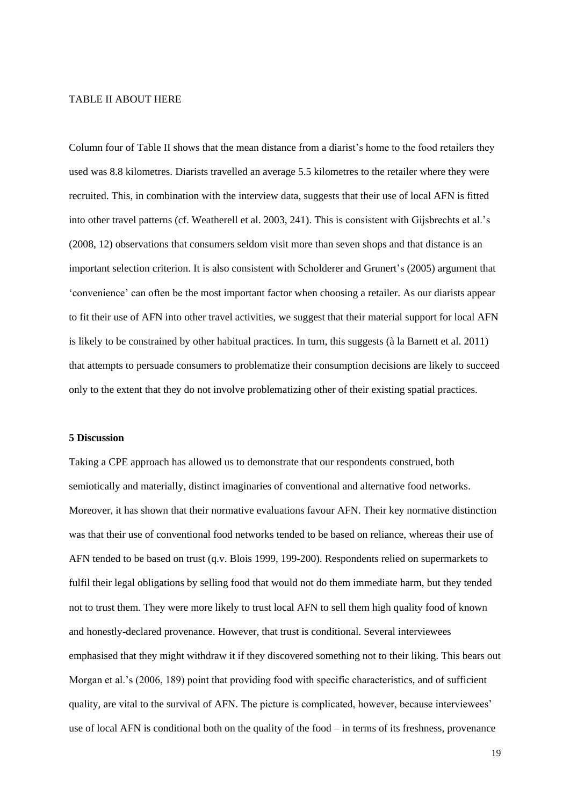## TABLE II ABOUT HERE

Column four of Table II shows that the mean distance from a diarist's home to the food retailers they used was 8.8 kilometres. Diarists travelled an average 5.5 kilometres to the retailer where they were recruited. This, in combination with the interview data, suggests that their use of local AFN is fitted into other travel patterns (cf. Weatherell et al. 2003, 241). This is consistent with Gijsbrechts et al.'s (2008, 12) observations that consumers seldom visit more than seven shops and that distance is an important selection criterion. It is also consistent with Scholderer and Grunert's (2005) argument that 'convenience' can often be the most important factor when choosing a retailer. As our diarists appear to fit their use of AFN into other travel activities, we suggest that their material support for local AFN is likely to be constrained by other habitual practices. In turn, this suggests (à la Barnett et al. 2011) that attempts to persuade consumers to problematize their consumption decisions are likely to succeed only to the extent that they do not involve problematizing other of their existing spatial practices.

## **5 Discussion**

Taking a CPE approach has allowed us to demonstrate that our respondents construed, both semiotically and materially, distinct imaginaries of conventional and alternative food networks. Moreover, it has shown that their normative evaluations favour AFN. Their key normative distinction was that their use of conventional food networks tended to be based on reliance, whereas their use of AFN tended to be based on trust (q.v. Blois 1999, 199-200). Respondents relied on supermarkets to fulfil their legal obligations by selling food that would not do them immediate harm, but they tended not to trust them. They were more likely to trust local AFN to sell them high quality food of known and honestly-declared provenance. However, that trust is conditional. Several interviewees emphasised that they might withdraw it if they discovered something not to their liking. This bears out Morgan et al.'s (2006, 189) point that providing food with specific characteristics, and of sufficient quality, are vital to the survival of AFN. The picture is complicated, however, because interviewees' use of local AFN is conditional both on the quality of the food – in terms of its freshness, provenance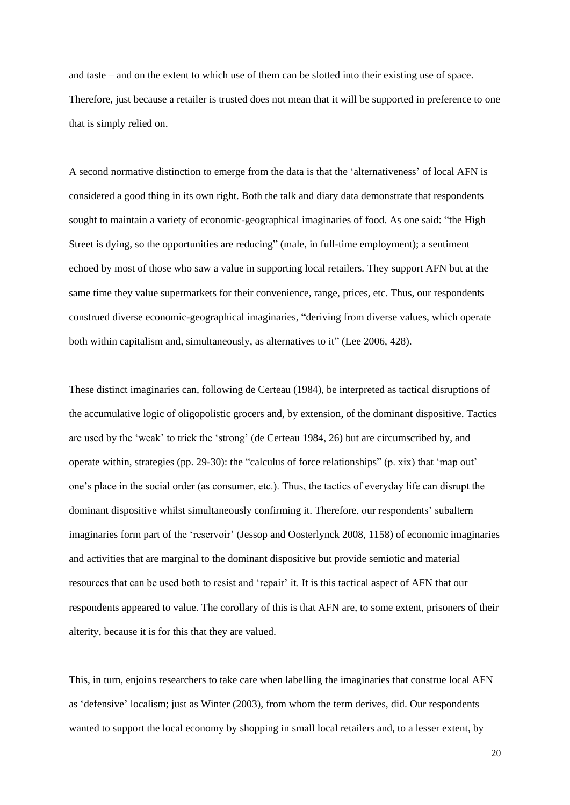and taste – and on the extent to which use of them can be slotted into their existing use of space. Therefore, just because a retailer is trusted does not mean that it will be supported in preference to one that is simply relied on.

A second normative distinction to emerge from the data is that the 'alternativeness' of local AFN is considered a good thing in its own right. Both the talk and diary data demonstrate that respondents sought to maintain a variety of economic-geographical imaginaries of food. As one said: "the High Street is dying, so the opportunities are reducing" (male, in full-time employment); a sentiment echoed by most of those who saw a value in supporting local retailers. They support AFN but at the same time they value supermarkets for their convenience, range, prices, etc. Thus, our respondents construed diverse economic-geographical imaginaries, "deriving from diverse values, which operate both within capitalism and, simultaneously, as alternatives to it" (Lee 2006, 428).

These distinct imaginaries can, following de Certeau (1984), be interpreted as tactical disruptions of the accumulative logic of oligopolistic grocers and, by extension, of the dominant dispositive. Tactics are used by the 'weak' to trick the 'strong' (de Certeau 1984, 26) but are circumscribed by, and operate within, strategies (pp. 29-30): the "calculus of force relationships" (p. xix) that 'map out' one's place in the social order (as consumer, etc.). Thus, the tactics of everyday life can disrupt the dominant dispositive whilst simultaneously confirming it. Therefore, our respondents' subaltern imaginaries form part of the 'reservoir' (Jessop and Oosterlynck 2008, 1158) of economic imaginaries and activities that are marginal to the dominant dispositive but provide semiotic and material resources that can be used both to resist and 'repair' it. It is this tactical aspect of AFN that our respondents appeared to value. The corollary of this is that AFN are, to some extent, prisoners of their alterity, because it is for this that they are valued.

This, in turn, enjoins researchers to take care when labelling the imaginaries that construe local AFN as 'defensive' localism; just as Winter (2003), from whom the term derives, did. Our respondents wanted to support the local economy by shopping in small local retailers and, to a lesser extent, by

20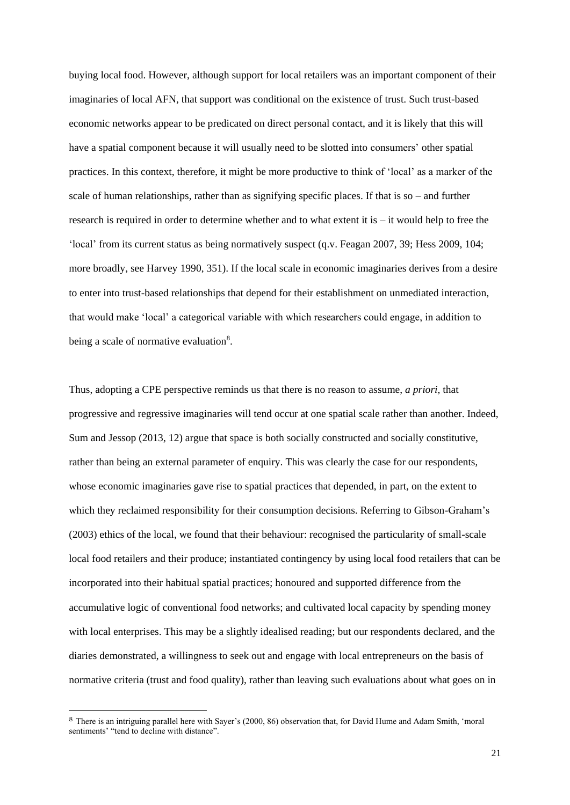buying local food. However, although support for local retailers was an important component of their imaginaries of local AFN, that support was conditional on the existence of trust. Such trust-based economic networks appear to be predicated on direct personal contact, and it is likely that this will have a spatial component because it will usually need to be slotted into consumers' other spatial practices. In this context, therefore, it might be more productive to think of 'local' as a marker of the scale of human relationships, rather than as signifying specific places. If that is so – and further research is required in order to determine whether and to what extent it is – it would help to free the 'local' from its current status as being normatively suspect (q.v. Feagan 2007, 39; Hess 2009, 104; more broadly, see Harvey 1990, 351). If the local scale in economic imaginaries derives from a desire to enter into trust-based relationships that depend for their establishment on unmediated interaction, that would make 'local' a categorical variable with which researchers could engage, in addition to being a scale of normative evaluation<sup>8</sup>.

Thus, adopting a CPE perspective reminds us that there is no reason to assume, *a priori*, that progressive and regressive imaginaries will tend occur at one spatial scale rather than another. Indeed, Sum and Jessop (2013, 12) argue that space is both socially constructed and socially constitutive, rather than being an external parameter of enquiry. This was clearly the case for our respondents, whose economic imaginaries gave rise to spatial practices that depended, in part, on the extent to which they reclaimed responsibility for their consumption decisions. Referring to Gibson-Graham's (2003) ethics of the local, we found that their behaviour: recognised the particularity of small-scale local food retailers and their produce; instantiated contingency by using local food retailers that can be incorporated into their habitual spatial practices; honoured and supported difference from the accumulative logic of conventional food networks; and cultivated local capacity by spending money with local enterprises. This may be a slightly idealised reading; but our respondents declared, and the diaries demonstrated, a willingness to seek out and engage with local entrepreneurs on the basis of normative criteria (trust and food quality), rather than leaving such evaluations about what goes on in

-

<sup>8</sup> There is an intriguing parallel here with Sayer's (2000, 86) observation that, for David Hume and Adam Smith, 'moral sentiments' "tend to decline with distance".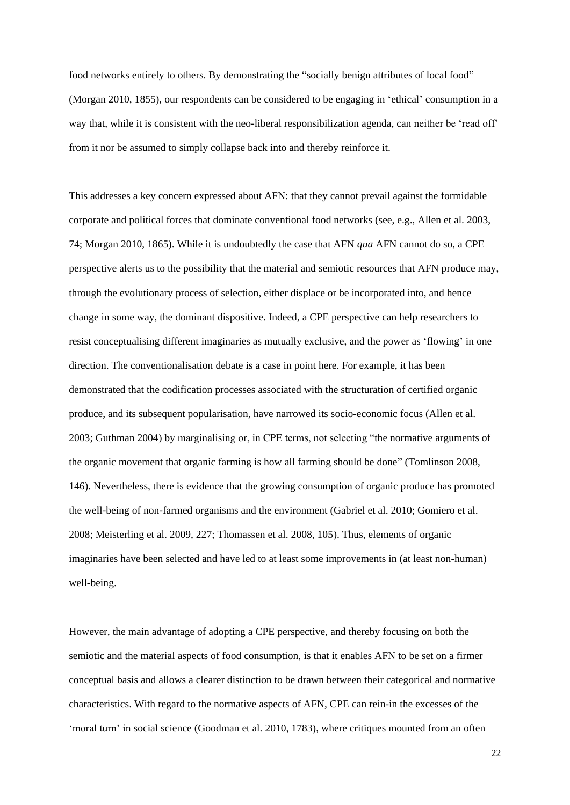food networks entirely to others. By demonstrating the "socially benign attributes of local food" (Morgan 2010, 1855), our respondents can be considered to be engaging in 'ethical' consumption in a way that, while it is consistent with the neo-liberal responsibilization agenda, can neither be 'read off' from it nor be assumed to simply collapse back into and thereby reinforce it.

This addresses a key concern expressed about AFN: that they cannot prevail against the formidable corporate and political forces that dominate conventional food networks (see, e.g., Allen et al. 2003, 74; Morgan 2010, 1865). While it is undoubtedly the case that AFN *qua* AFN cannot do so, a CPE perspective alerts us to the possibility that the material and semiotic resources that AFN produce may, through the evolutionary process of selection, either displace or be incorporated into, and hence change in some way, the dominant dispositive. Indeed, a CPE perspective can help researchers to resist conceptualising different imaginaries as mutually exclusive, and the power as 'flowing' in one direction. The conventionalisation debate is a case in point here. For example, it has been demonstrated that the codification processes associated with the structuration of certified organic produce, and its subsequent popularisation, have narrowed its socio-economic focus (Allen et al. 2003; Guthman 2004) by marginalising or, in CPE terms, not selecting "the normative arguments of the organic movement that organic farming is how all farming should be done" (Tomlinson 2008, 146). Nevertheless, there is evidence that the growing consumption of organic produce has promoted the well-being of non-farmed organisms and the environment (Gabriel et al. 2010; Gomiero et al. 2008; Meisterling et al. 2009, 227; Thomassen et al. 2008, 105). Thus, elements of organic imaginaries have been selected and have led to at least some improvements in (at least non-human) well-being.

However, the main advantage of adopting a CPE perspective, and thereby focusing on both the semiotic and the material aspects of food consumption, is that it enables AFN to be set on a firmer conceptual basis and allows a clearer distinction to be drawn between their categorical and normative characteristics. With regard to the normative aspects of AFN, CPE can rein-in the excesses of the 'moral turn' in social science (Goodman et al. 2010, 1783), where critiques mounted from an often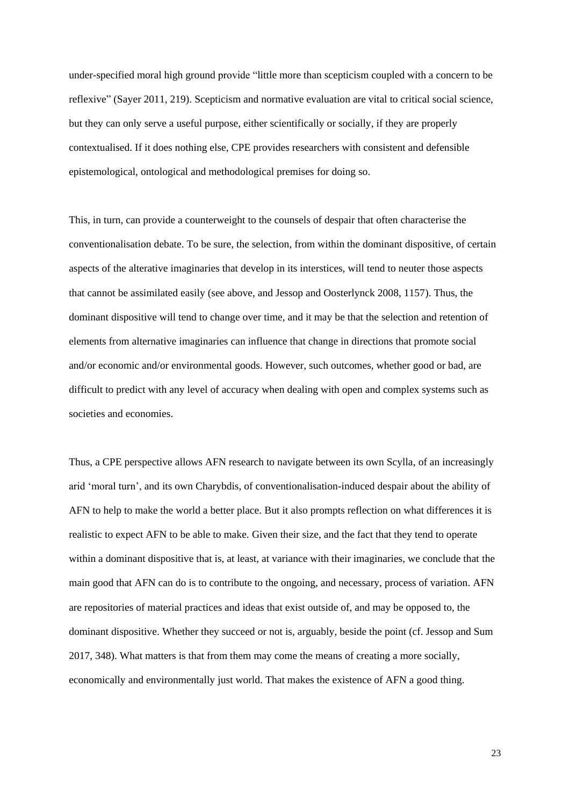under-specified moral high ground provide "little more than scepticism coupled with a concern to be reflexive" (Sayer 2011, 219). Scepticism and normative evaluation are vital to critical social science, but they can only serve a useful purpose, either scientifically or socially, if they are properly contextualised. If it does nothing else, CPE provides researchers with consistent and defensible epistemological, ontological and methodological premises for doing so.

This, in turn, can provide a counterweight to the counsels of despair that often characterise the conventionalisation debate. To be sure, the selection, from within the dominant dispositive, of certain aspects of the alterative imaginaries that develop in its interstices, will tend to neuter those aspects that cannot be assimilated easily (see above, and Jessop and Oosterlynck 2008, 1157). Thus, the dominant dispositive will tend to change over time, and it may be that the selection and retention of elements from alternative imaginaries can influence that change in directions that promote social and/or economic and/or environmental goods. However, such outcomes, whether good or bad, are difficult to predict with any level of accuracy when dealing with open and complex systems such as societies and economies.

Thus, a CPE perspective allows AFN research to navigate between its own Scylla, of an increasingly arid 'moral turn', and its own Charybdis, of conventionalisation-induced despair about the ability of AFN to help to make the world a better place. But it also prompts reflection on what differences it is realistic to expect AFN to be able to make. Given their size, and the fact that they tend to operate within a dominant dispositive that is, at least, at variance with their imaginaries, we conclude that the main good that AFN can do is to contribute to the ongoing, and necessary, process of variation. AFN are repositories of material practices and ideas that exist outside of, and may be opposed to, the dominant dispositive. Whether they succeed or not is, arguably, beside the point (cf. Jessop and Sum 2017, 348). What matters is that from them may come the means of creating a more socially, economically and environmentally just world. That makes the existence of AFN a good thing.

23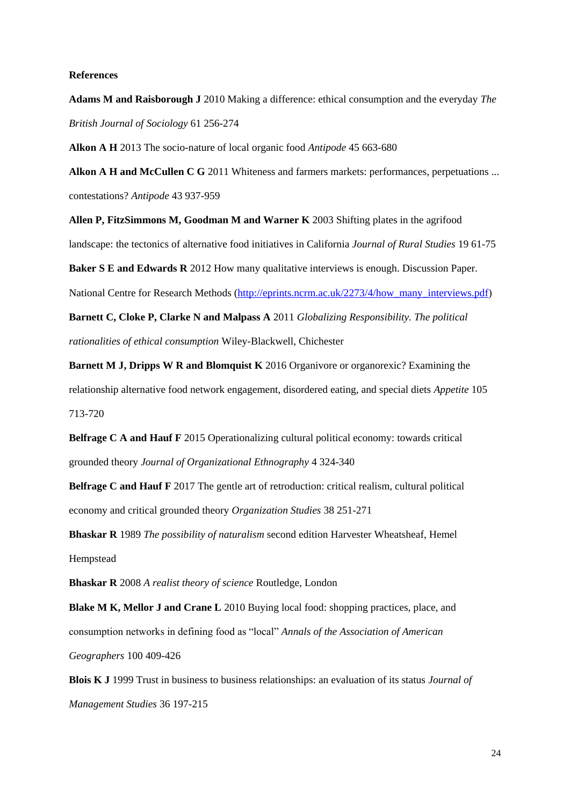#### **References**

**Adams M and Raisborough J** 2010 Making a difference: ethical consumption and the everyday *The British Journal of Sociology* 61 256-274

**Alkon A H** 2013 The socio-nature of local organic food *Antipode* 45 663-680

Alkon A H and McCullen C G 2011 Whiteness and farmers markets: performances, perpetuations ... contestations? *Antipode* 43 937-959

**Allen P, FitzSimmons M, Goodman M and Warner K** 2003 Shifting plates in the agrifood landscape: the tectonics of alternative food initiatives in California *Journal of Rural Studies* 19 61-75

**Baker S E and Edwards R** 2012 How many qualitative interviews is enough. Discussion Paper.

National Centre for Research Methods [\(http://eprints.ncrm.ac.uk/2273/4/how\\_many\\_interviews.pdf\)](http://eprints.ncrm.ac.uk/2273/4/how_many_interviews.pdf)

**Barnett C, Cloke P, Clarke N and Malpass A** 2011 *Globalizing Responsibility. The political rationalities of ethical consumption* Wiley-Blackwell, Chichester

**Barnett M J, Dripps W R and Blomquist K** 2016 Organivore or organorexic? Examining the relationship alternative food network engagement, disordered eating, and special diets *Appetite* 105 713-720

**Belfrage C A and Hauf F** 2015 Operationalizing cultural political economy: towards critical grounded theory *Journal of Organizational Ethnography* 4 324-340

**Belfrage C and Hauf F** 2017 The gentle art of retroduction: critical realism, cultural political economy and critical grounded theory *Organization Studies* 38 251-271

**Bhaskar R** 1989 *The possibility of naturalism* second edition Harvester Wheatsheaf, Hemel Hempstead

**Bhaskar R** 2008 *A realist theory of science* Routledge, London

**Blake M K, Mellor J and Crane L** 2010 Buying local food: shopping practices, place, and consumption networks in defining food as "local" *Annals of the Association of American Geographers* 100 409-426

**Blois K J** 1999 Trust in business to business relationships: an evaluation of its status *Journal of Management Studies* 36 197-215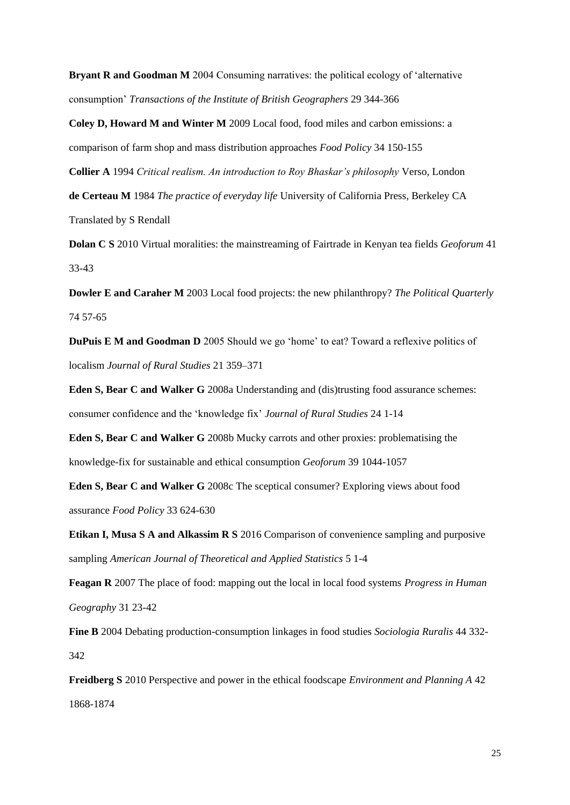**Bryant R and Goodman M** 2004 Consuming narratives: the political ecology of 'alternative consumption' *Transactions of the Institute of British Geographers* 29 344-366

**Coley D, Howard M and Winter M** 2009 Local food, food miles and carbon emissions: a comparison of farm shop and mass distribution approaches *Food Policy* 34 150-155

**Collier A** 1994 *Critical realism. An introduction to Roy Bhaskar's philosophy* Verso, London **de Certeau M** 1984 *The practice of everyday life* University of California Press, Berkeley CA Translated by S Rendall

**Dolan C S** 2010 Virtual moralities: the mainstreaming of Fairtrade in Kenyan tea fields *Geoforum* 41 33-43

**Dowler E and Caraher M** 2003 Local food projects: the new philanthropy? *The Political Quarterly* 74 57-65

**DuPuis E M and Goodman D** 2005 Should we go 'home' to eat? Toward a reflexive politics of localism *Journal of Rural Studies* 21 359–371

**Eden S, Bear C and Walker G** 2008a Understanding and (dis)trusting food assurance schemes: consumer confidence and the 'knowledge fix' *Journal of Rural Studies* 24 1-14

**Eden S, Bear C and Walker G** 2008b Mucky carrots and other proxies: problematising the knowledge-fix for sustainable and ethical consumption *Geoforum* 39 1044-1057

**Eden S, Bear C and Walker G** 2008c The sceptical consumer? Exploring views about food assurance *Food Policy* 33 624-630

**Etikan I, Musa S A and Alkassim R S** 2016 Comparison of convenience sampling and purposive sampling *American Journal of Theoretical and Applied Statistics* 5 1-4

**Feagan R** 2007 The place of food: mapping out the local in local food systems *Progress in Human Geography* 31 23-42

**Fine B** 2004 Debating production-consumption linkages in food studies *Sociologia Ruralis* 44 332- 342

**Freidberg S** 2010 Perspective and power in the ethical foodscape *Environment and Planning A* 42 1868-1874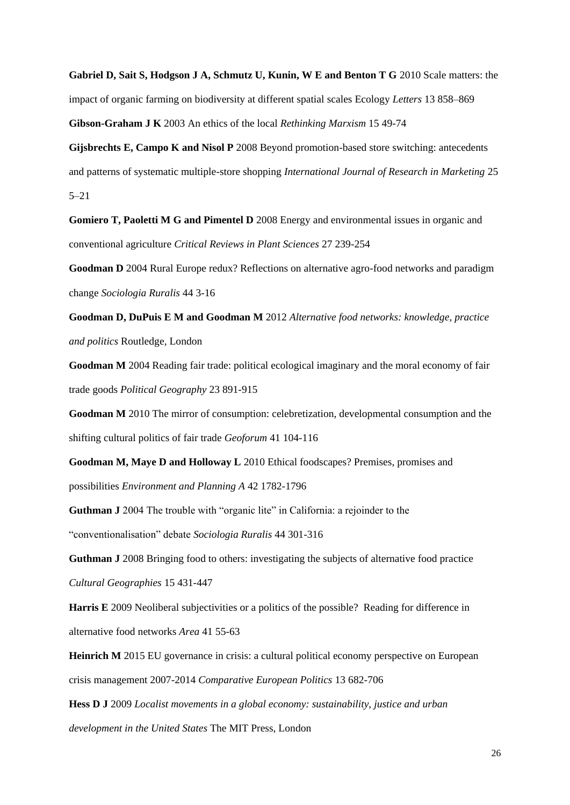**Gabriel D, Sait S, Hodgson J A, Schmutz U, Kunin, W E and Benton T G** 2010 Scale matters: the impact of organic farming on biodiversity at different spatial scales Ecology *Letters* 13 858–869

**Gibson-Graham J K** 2003 An ethics of the local *Rethinking Marxism* 15 49-74

**Gijsbrechts E, Campo K and Nisol P** 2008 Beyond promotion-based store switching: antecedents and patterns of systematic multiple-store shopping *International Journal of Research in Marketing* 25 5–21

**Gomiero T, Paoletti M G and Pimentel D** 2008 Energy and environmental issues in organic and conventional agriculture *Critical Reviews in Plant Sciences* 27 239-254

**Goodman D** 2004 Rural Europe redux? Reflections on alternative agro-food networks and paradigm change *Sociologia Ruralis* 44 3-16

**Goodman D, DuPuis E M and Goodman M** 2012 *Alternative food networks: knowledge, practice and politics* Routledge, London

**Goodman M** 2004 Reading fair trade: political ecological imaginary and the moral economy of fair trade goods *Political Geography* 23 891-915

**Goodman M** 2010 The mirror of consumption: celebretization, developmental consumption and the shifting cultural politics of fair trade *Geoforum* 41 104-116

**Goodman M, Maye D and Holloway L** 2010 Ethical foodscapes? Premises, promises and possibilities *Environment and Planning A* 42 1782-1796

**Guthman J** 2004 The trouble with "organic lite" in California: a rejoinder to the "conventionalisation" debate *Sociologia Ruralis* 44 301-316

**Guthman J** 2008 Bringing food to others: investigating the subjects of alternative food practice *Cultural Geographies* 15 431-447

**Harris E** 2009 Neoliberal subjectivities or a politics of the possible? Reading for difference in alternative food networks *Area* 41 55-63

**Heinrich M** 2015 EU governance in crisis: a cultural political economy perspective on European crisis management 2007-2014 *Comparative European Politics* 13 682-706

**Hess D J** 2009 *Localist movements in a global economy: sustainability, justice and urban development in the United States* The MIT Press, London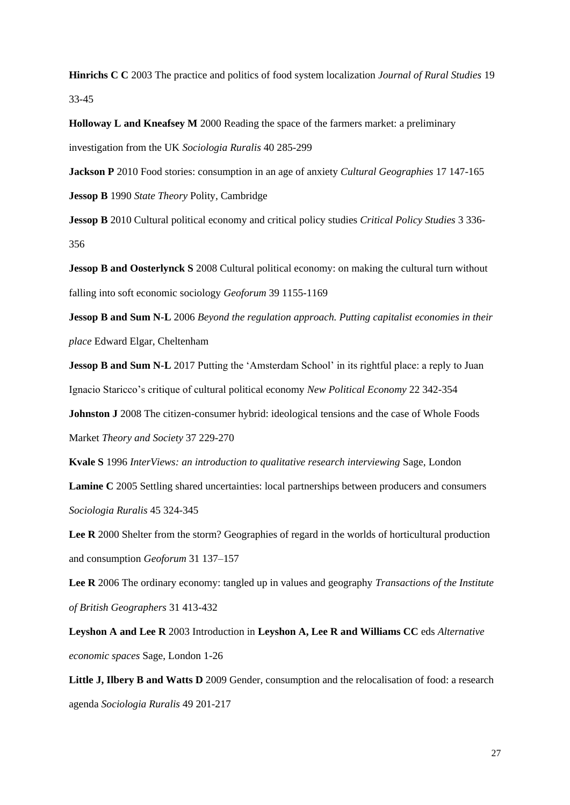**Hinrichs C C** 2003 The practice and politics of food system localization *Journal of Rural Studies* 19 33-45

**Holloway L and Kneafsey M** 2000 Reading the space of the farmers market: a preliminary investigation from the UK *Sociologia Ruralis* 40 285-299

**Jackson P** 2010 Food stories: consumption in an age of anxiety *Cultural Geographies* 17 147-165 **Jessop B** 1990 *State Theory* Polity, Cambridge

**Jessop B** 2010 Cultural political economy and critical policy studies *Critical Policy Studies* 3 336- 356

**Jessop B and Oosterlynck S** 2008 Cultural political economy: on making the cultural turn without falling into soft economic sociology *Geoforum* 39 1155-1169

**Jessop B and Sum N-L** 2006 *Beyond the regulation approach. Putting capitalist economies in their place* Edward Elgar, Cheltenham

**Jessop B and Sum N-L** 2017 Putting the 'Amsterdam School' in its rightful place: a reply to Juan Ignacio Staricco's critique of cultural political economy *New Political Economy* 22 342-354

**Johnston J** 2008 The citizen-consumer hybrid: ideological tensions and the case of Whole Foods Market *Theory and Society* 37 229-270

**Kvale S** 1996 *InterViews: an introduction to qualitative research interviewing* Sage, London

**Lamine C** 2005 Settling shared uncertainties: local partnerships between producers and consumers *Sociologia Ruralis* 45 324-345

**Lee R** 2000 Shelter from the storm? Geographies of regard in the worlds of horticultural production and consumption *Geoforum* 31 137–157

**Lee R** 2006 The ordinary economy: tangled up in values and geography *Transactions of the Institute of British Geographers* 31 413-432

**Leyshon A and Lee R** 2003 Introduction in **Leyshon A, Lee R and Williams CC** eds *Alternative economic spaces* Sage, London 1-26

**Little J, Ilbery B and Watts D** 2009 Gender, consumption and the relocalisation of food: a research agenda *Sociologia Ruralis* 49 201-217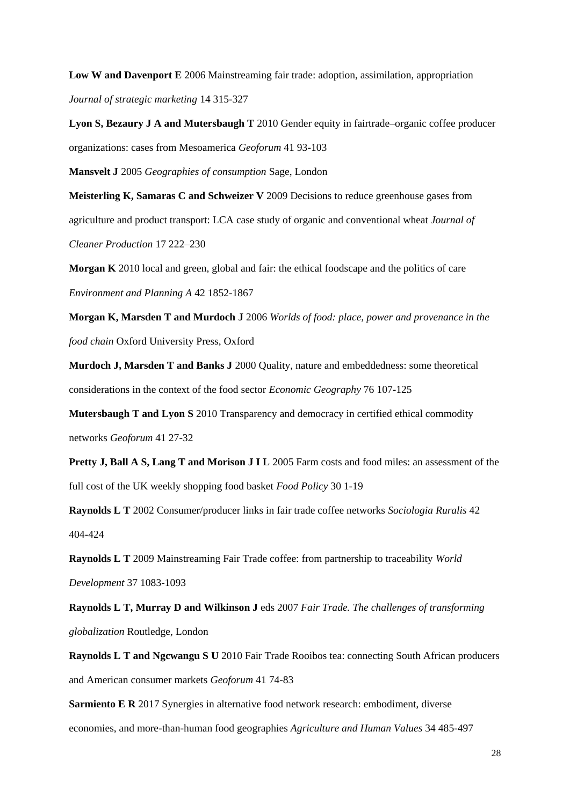**Low W and Davenport E** 2006 Mainstreaming fair trade: adoption, assimilation, appropriation *Journal of strategic marketing* 14 315-327

**Lyon S, Bezaury J A and Mutersbaugh T** 2010 Gender equity in fairtrade–organic coffee producer organizations: cases from Mesoamerica *Geoforum* 41 93-103

**Mansvelt J** 2005 *Geographies of consumption* Sage, London

**Meisterling K, Samaras C and Schweizer V** 2009 Decisions to reduce greenhouse gases from agriculture and product transport: LCA case study of organic and conventional wheat *Journal of Cleaner Production* 17 222–230

**Morgan K** 2010 local and green, global and fair: the ethical foodscape and the politics of care *Environment and Planning A* 42 1852-1867

**Morgan K, Marsden T and Murdoch J** 2006 *Worlds of food: place, power and provenance in the food chain* Oxford University Press, Oxford

**Murdoch J, Marsden T and Banks J** 2000 Quality, nature and embeddedness: some theoretical considerations in the context of the food sector *Economic Geography* 76 107-125

**Mutersbaugh T and Lyon S** 2010 Transparency and democracy in certified ethical commodity networks *Geoforum* 41 27-32

**Pretty J, Ball A S, Lang T and Morison J I L 2005 Farm costs and food miles: an assessment of the** full cost of the UK weekly shopping food basket *Food Policy* 30 1-19

**Raynolds L T** 2002 Consumer/producer links in fair trade coffee networks *Sociologia Ruralis* 42 404-424

**Raynolds L T** 2009 Mainstreaming Fair Trade coffee: from partnership to traceability *World Development* 37 1083-1093

**Raynolds L T, Murray D and Wilkinson J** eds 2007 *Fair Trade. The challenges of transforming globalization* Routledge, London

**Raynolds L T and Ngcwangu S U** 2010 Fair Trade Rooibos tea: connecting South African producers and American consumer markets *Geoforum* 41 74-83

**Sarmiento E R** 2017 Synergies in alternative food network research: embodiment, diverse economies, and more-than-human food geographies *Agriculture and Human Values* 34 485-497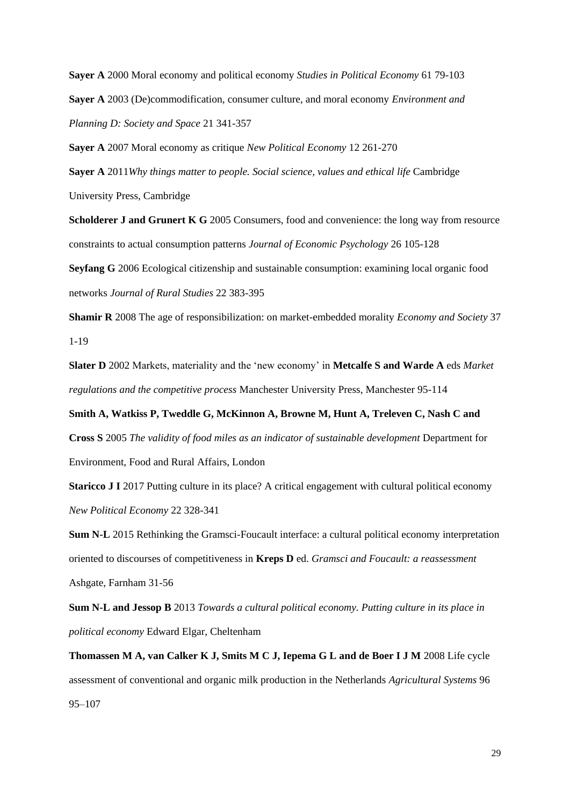**Sayer A** 2000 Moral economy and political economy *Studies in Political Economy* 61 79-103 **Sayer A** 2003 (De)commodification, consumer culture, and moral economy *Environment and Planning D: Society and Space* 21 341-357

**Sayer A** 2007 Moral economy as critique *New Political Economy* 12 261-270

**Sayer A** 2011*Why things matter to people. Social science, values and ethical life* Cambridge University Press, Cambridge

**Scholderer J and Grunert K G** 2005 Consumers, food and convenience: the long way from resource constraints to actual consumption patterns *Journal of Economic Psychology* 26 105-128

**Seyfang G** 2006 Ecological citizenship and sustainable consumption: examining local organic food networks *Journal of Rural Studies* 22 383-395

**Shamir R** 2008 The age of responsibilization: on market-embedded morality *Economy and Society* 37 1-19

**Slater D** 2002 Markets, materiality and the 'new economy' in **Metcalfe S and Warde A** eds *Market regulations and the competitive process* Manchester University Press, Manchester 95-114

**Smith A, Watkiss P, Tweddle G, McKinnon A, Browne M, Hunt A, Treleven C, Nash C and Cross S** 2005 *The validity of food miles as an indicator of sustainable development* Department for Environment, Food and Rural Affairs, London

**Staricco J I** 2017 Putting culture in its place? A critical engagement with cultural political economy *New Political Economy* 22 328-341

**Sum N-L** 2015 Rethinking the Gramsci-Foucault interface: a cultural political economy interpretation oriented to discourses of competitiveness in **Kreps D** ed. *Gramsci and Foucault: a reassessment* Ashgate, Farnham 31-56

**Sum N-L and Jessop B** 2013 *Towards a cultural political economy. Putting culture in its place in political economy* Edward Elgar, Cheltenham

**Thomassen M A, van Calker K J, Smits M C J, Iepema G L and de Boer I J M** 2008 Life cycle assessment of conventional and organic milk production in the Netherlands *Agricultural Systems* 96 95–107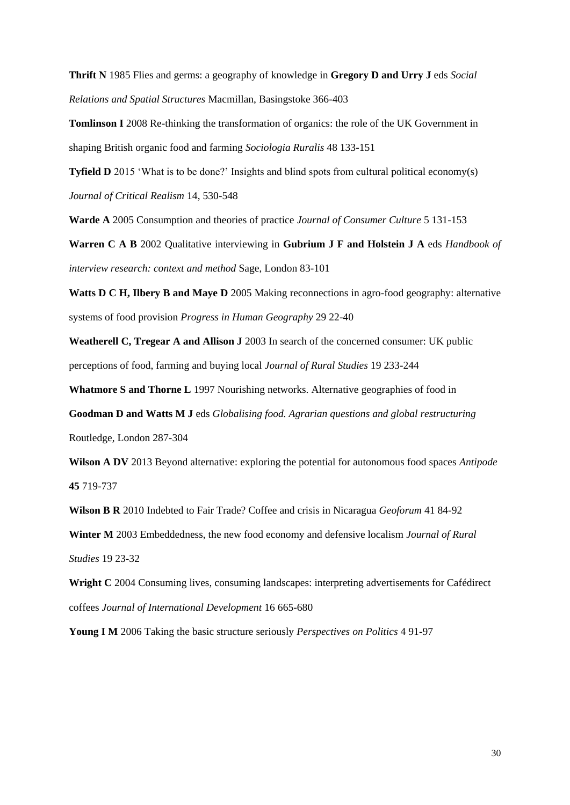**Thrift N** 1985 Flies and germs: a geography of knowledge in **Gregory D and Urry J** eds *Social Relations and Spatial Structures* Macmillan, Basingstoke 366-403

**Tomlinson I** 2008 Re-thinking the transformation of organics: the role of the UK Government in shaping British organic food and farming *Sociologia Ruralis* 48 133-151

**Tyfield D** 2015 'What is to be done?' Insights and blind spots from cultural political economy(s) *Journal of Critical Realism* 14, 530-548

**Warde A** 2005 Consumption and theories of practice *Journal of Consumer Culture* 5 131-153

**Warren C A B** 2002 Qualitative interviewing in **Gubrium J F and Holstein J A** eds *Handbook of interview research: context and method* Sage, London 83-101

**Watts D C H, Ilbery B and Maye D** 2005 Making reconnections in agro-food geography: alternative systems of food provision *Progress in Human Geography* 29 22-40

**Weatherell C, Tregear A and Allison J** 2003 In search of the concerned consumer: UK public perceptions of food, farming and buying local *Journal of Rural Studies* 19 233-244

**Whatmore S and Thorne L** 1997 Nourishing networks. Alternative geographies of food in

**Goodman D and Watts M J** eds *Globalising food. Agrarian questions and global restructuring* Routledge, London 287-304

**Wilson A DV** 2013 Beyond alternative: exploring the potential for autonomous food spaces *Antipode* **45** 719-737

**Wilson B R** 2010 Indebted to Fair Trade? Coffee and crisis in Nicaragua *Geoforum* 41 84-92

**Winter M** 2003 Embeddedness, the new food economy and defensive localism *Journal of Rural Studies* 19 23-32

**Wright C** 2004 Consuming lives, consuming landscapes: interpreting advertisements for Cafédirect coffees *Journal of International Development* 16 665-680

**Young I M** 2006 Taking the basic structure seriously *Perspectives on Politics* 4 91-97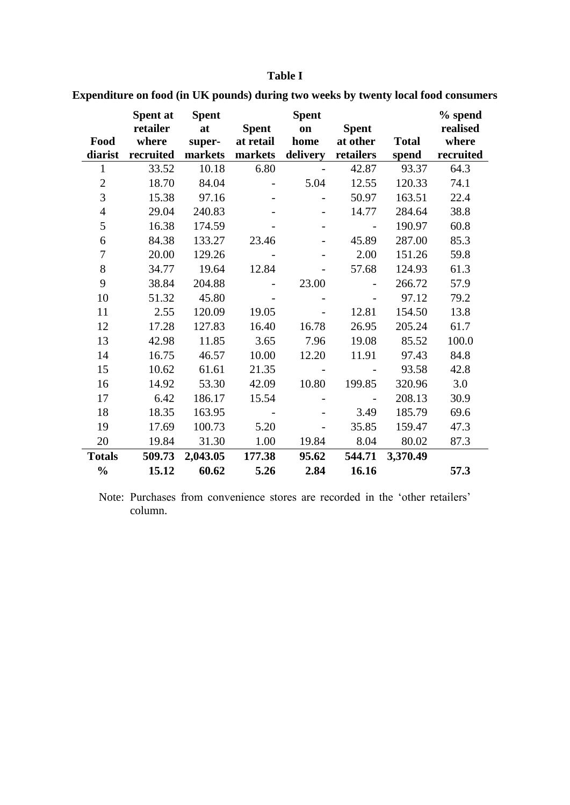## **Table I**

|                  | <b>Spent at</b> | <b>Spent</b> |              | <b>Spent</b>             |                |              | $%$ spend |
|------------------|-----------------|--------------|--------------|--------------------------|----------------|--------------|-----------|
|                  | retailer        | at           | <b>Spent</b> | on                       | <b>Spent</b>   |              | realised  |
| Food             | where           | super-       | at retail    | home                     | at other       | <b>Total</b> | where     |
| diarist          | recruited       | markets      | markets      | delivery                 | retailers      | spend        | recruited |
| $\mathbf{1}$     | 33.52           | 10.18        | 6.80         |                          | 42.87          | 93.37        | 64.3      |
| $\mathbf{2}$     | 18.70           | 84.04        |              | 5.04                     | 12.55          | 120.33       | 74.1      |
| 3                | 15.38           | 97.16        |              |                          | 50.97          | 163.51       | 22.4      |
| $\overline{4}$   | 29.04           | 240.83       |              |                          | 14.77          | 284.64       | 38.8      |
| 5                | 16.38           | 174.59       |              | $\overline{\phantom{a}}$ | $\overline{a}$ | 190.97       | 60.8      |
| 6                | 84.38           | 133.27       | 23.46        |                          | 45.89          | 287.00       | 85.3      |
| $\boldsymbol{7}$ | 20.00           | 129.26       |              |                          | 2.00           | 151.26       | 59.8      |
| 8                | 34.77           | 19.64        | 12.84        |                          | 57.68          | 124.93       | 61.3      |
| 9                | 38.84           | 204.88       |              | 23.00                    |                | 266.72       | 57.9      |
| 10               | 51.32           | 45.80        |              |                          |                | 97.12        | 79.2      |
| 11               | 2.55            | 120.09       | 19.05        |                          | 12.81          | 154.50       | 13.8      |
| 12               | 17.28           | 127.83       | 16.40        | 16.78                    | 26.95          | 205.24       | 61.7      |
| 13               | 42.98           | 11.85        | 3.65         | 7.96                     | 19.08          | 85.52        | 100.0     |
| 14               | 16.75           | 46.57        | 10.00        | 12.20                    | 11.91          | 97.43        | 84.8      |
| 15               | 10.62           | 61.61        | 21.35        |                          |                | 93.58        | 42.8      |
| 16               | 14.92           | 53.30        | 42.09        | 10.80                    | 199.85         | 320.96       | 3.0       |
| 17               | 6.42            | 186.17       | 15.54        |                          |                | 208.13       | 30.9      |
| 18               | 18.35           | 163.95       |              |                          | 3.49           | 185.79       | 69.6      |
| 19               | 17.69           | 100.73       | 5.20         |                          | 35.85          | 159.47       | 47.3      |
| 20               | 19.84           | 31.30        | 1.00         | 19.84                    | 8.04           | 80.02        | 87.3      |
| <b>Totals</b>    | 509.73          | 2,043.05     | 177.38       | 95.62                    | 544.71         | 3,370.49     |           |
| $\frac{0}{0}$    | 15.12           | 60.62        | 5.26         | 2.84                     | 16.16          |              | 57.3      |

**Expenditure on food (in UK pounds) during two weeks by twenty local food consumers**

Note: Purchases from convenience stores are recorded in the 'other retailers' column.